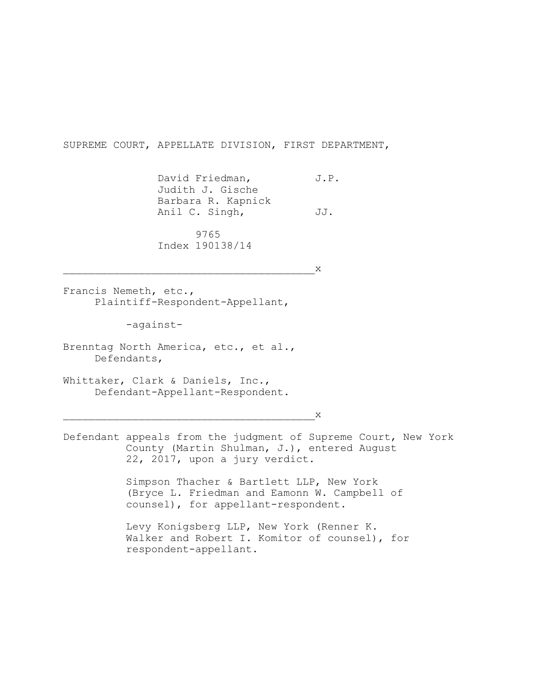SUPREME COURT, APPELLATE DIVISION, FIRST DEPARTMENT,

David Friedman, J.P. Judith J. Gische Barbara R. Kapnick Anil C. Singh, JJ.

 9765 Index 190138/14

\_\_\_\_\_\_\_\_\_\_\_\_\_\_\_\_\_\_\_\_\_\_\_\_\_\_\_\_\_\_\_\_\_\_\_\_\_\_\_\_x

Francis Nemeth, etc., Plaintiff-Respondent-Appellant,

-against-

Brenntag North America, etc., et al., Defendants,

Whittaker, Clark & Daniels, Inc., Defendant-Appellant-Respondent.

 $\mathsf{X}$ 

Defendant appeals from the judgment of Supreme Court, New York County (Martin Shulman, J.), entered August 22, 2017, upon a jury verdict.

> Simpson Thacher & Bartlett LLP, New York (Bryce L. Friedman and Eamonn W. Campbell of counsel), for appellant-respondent.

Levy Konigsberg LLP, New York (Renner K. Walker and Robert I. Komitor of counsel), for respondent-appellant.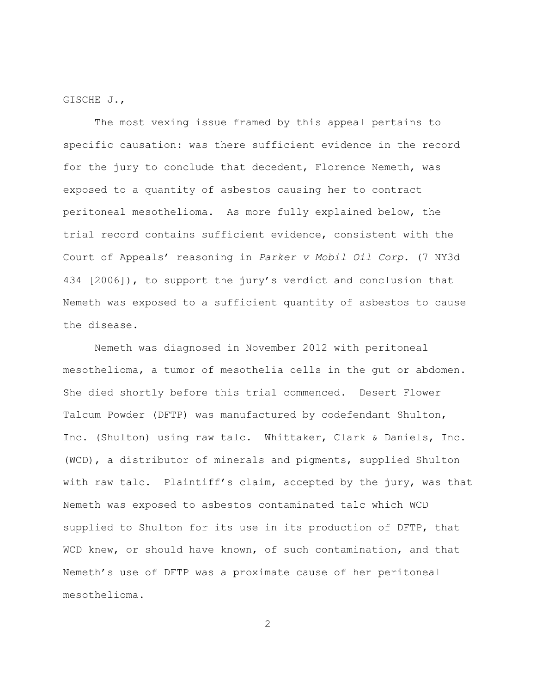GISCHE J.,

The most vexing issue framed by this appeal pertains to specific causation: was there sufficient evidence in the record for the jury to conclude that decedent, Florence Nemeth, was exposed to a quantity of asbestos causing her to contract peritoneal mesothelioma. As more fully explained below, the trial record contains sufficient evidence, consistent with the Court of Appeals' reasoning in *Parker v Mobil Oil Corp.* (7 NY3d 434 [2006]), to support the jury's verdict and conclusion that Nemeth was exposed to a sufficient quantity of asbestos to cause the disease.

Nemeth was diagnosed in November 2012 with peritoneal mesothelioma, a tumor of mesothelia cells in the gut or abdomen. She died shortly before this trial commenced. Desert Flower Talcum Powder (DFTP) was manufactured by codefendant Shulton, Inc. (Shulton) using raw talc. Whittaker, Clark & Daniels, Inc. (WCD), a distributor of minerals and pigments, supplied Shulton with raw talc. Plaintiff's claim, accepted by the jury, was that Nemeth was exposed to asbestos contaminated talc which WCD supplied to Shulton for its use in its production of DFTP, that WCD knew, or should have known, of such contamination, and that Nemeth's use of DFTP was a proximate cause of her peritoneal mesothelioma.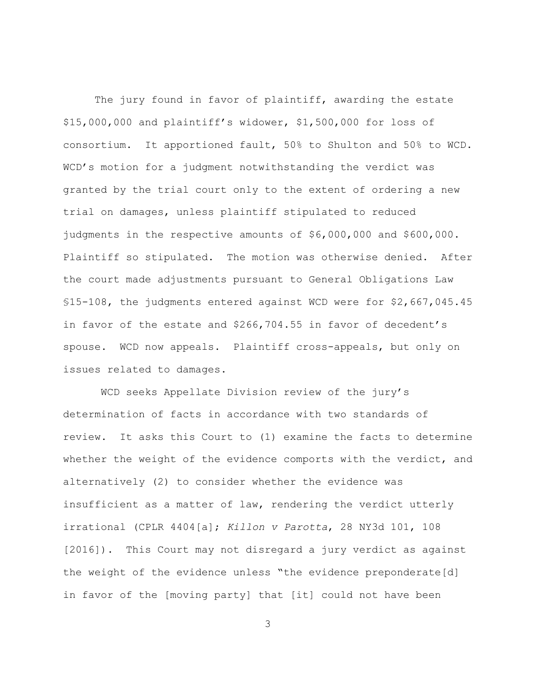The jury found in favor of plaintiff, awarding the estate \$15,000,000 and plaintiff's widower, \$1,500,000 for loss of consortium. It apportioned fault, 50% to Shulton and 50% to WCD. WCD's motion for a judgment notwithstanding the verdict was granted by the trial court only to the extent of ordering a new trial on damages, unless plaintiff stipulated to reduced judgments in the respective amounts of \$6,000,000 and \$600,000. Plaintiff so stipulated. The motion was otherwise denied. After the court made adjustments pursuant to General Obligations Law §15-108, the judgments entered against WCD were for \$2,667,045.45 in favor of the estate and \$266,704.55 in favor of decedent's spouse. WCD now appeals. Plaintiff cross-appeals, but only on issues related to damages.

 WCD seeks Appellate Division review of the jury's determination of facts in accordance with two standards of review. It asks this Court to (1) examine the facts to determine whether the weight of the evidence comports with the verdict, and alternatively (2) to consider whether the evidence was insufficient as a matter of law, rendering the verdict utterly irrational (CPLR 4404[a]; *Killon v Parotta*, 28 NY3d 101, 108 [2016]). This Court may not disregard a jury verdict as against the weight of the evidence unless "the evidence preponderate[d] in favor of the [moving party] that [it] could not have been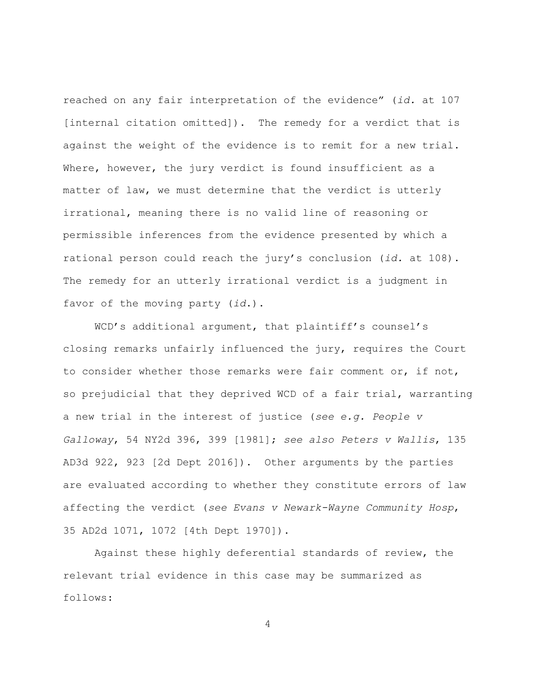reached on any fair interpretation of the evidence" (*id.* at 107 [internal citation omitted]). The remedy for a verdict that is against the weight of the evidence is to remit for a new trial. Where, however, the jury verdict is found insufficient as a matter of law, we must determine that the verdict is utterly irrational, meaning there is no valid line of reasoning or permissible inferences from the evidence presented by which a rational person could reach the jury's conclusion (*id.* at 108). The remedy for an utterly irrational verdict is a judgment in favor of the moving party (*id*.).

WCD's additional argument, that plaintiff's counsel's closing remarks unfairly influenced the jury, requires the Court to consider whether those remarks were fair comment or, if not, so prejudicial that they deprived WCD of a fair trial, warranting a new trial in the interest of justice (*see e.g. People v Galloway*, 54 NY2d 396, 399 [1981]; *see also Peters v Wallis*, 135 AD3d 922, 923 [2d Dept 2016]). Other arguments by the parties are evaluated according to whether they constitute errors of law affecting the verdict (*see Evans v Newark-Wayne Community Hosp*, 35 AD2d 1071, 1072 [4th Dept 1970]).

Against these highly deferential standards of review, the relevant trial evidence in this case may be summarized as follows: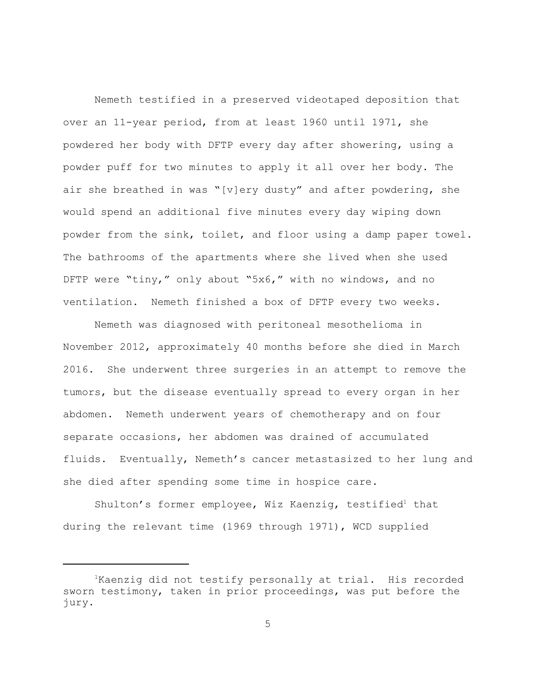Nemeth testified in a preserved videotaped deposition that over an 11-year period, from at least 1960 until 1971, she powdered her body with DFTP every day after showering, using a powder puff for two minutes to apply it all over her body. The air she breathed in was "[v]ery dusty" and after powdering, she would spend an additional five minutes every day wiping down powder from the sink, toilet, and floor using a damp paper towel. The bathrooms of the apartments where she lived when she used DFTP were "tiny," only about "5x6," with no windows, and no ventilation. Nemeth finished a box of DFTP every two weeks.

Nemeth was diagnosed with peritoneal mesothelioma in November 2012, approximately 40 months before she died in March 2016. She underwent three surgeries in an attempt to remove the tumors, but the disease eventually spread to every organ in her abdomen. Nemeth underwent years of chemotherapy and on four separate occasions, her abdomen was drained of accumulated fluids. Eventually, Nemeth's cancer metastasized to her lung and she died after spending some time in hospice care.

Shulton's former employee, Wiz Kaenzig, testified<sup>1</sup> that during the relevant time (1969 through 1971), WCD supplied

<sup>1</sup>Kaenzig did not testify personally at trial. His recorded sworn testimony, taken in prior proceedings, was put before the jury.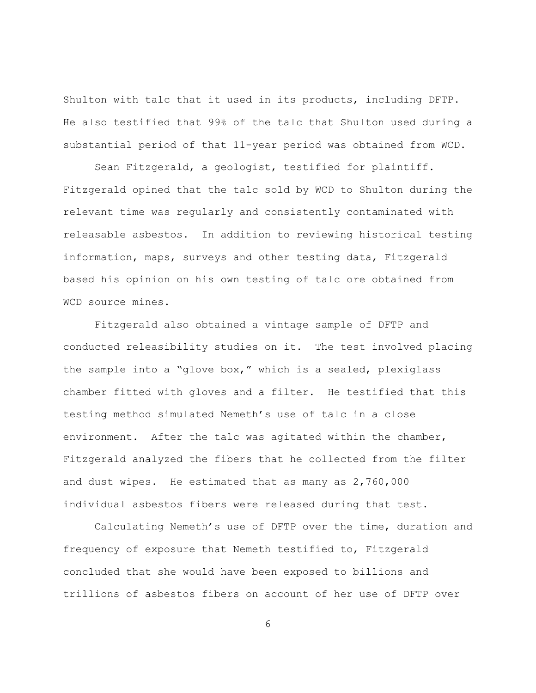Shulton with talc that it used in its products, including DFTP. He also testified that 99% of the talc that Shulton used during a substantial period of that 11-year period was obtained from WCD.

Sean Fitzgerald, a geologist, testified for plaintiff. Fitzgerald opined that the talc sold by WCD to Shulton during the relevant time was regularly and consistently contaminated with releasable asbestos. In addition to reviewing historical testing information, maps, surveys and other testing data, Fitzgerald based his opinion on his own testing of talc ore obtained from WCD source mines.

Fitzgerald also obtained a vintage sample of DFTP and conducted releasibility studies on it. The test involved placing the sample into a "glove box," which is a sealed, plexiglass chamber fitted with gloves and a filter. He testified that this testing method simulated Nemeth's use of talc in a close environment. After the talc was agitated within the chamber, Fitzgerald analyzed the fibers that he collected from the filter and dust wipes. He estimated that as many as 2,760,000 individual asbestos fibers were released during that test.

Calculating Nemeth's use of DFTP over the time, duration and frequency of exposure that Nemeth testified to, Fitzgerald concluded that she would have been exposed to billions and trillions of asbestos fibers on account of her use of DFTP over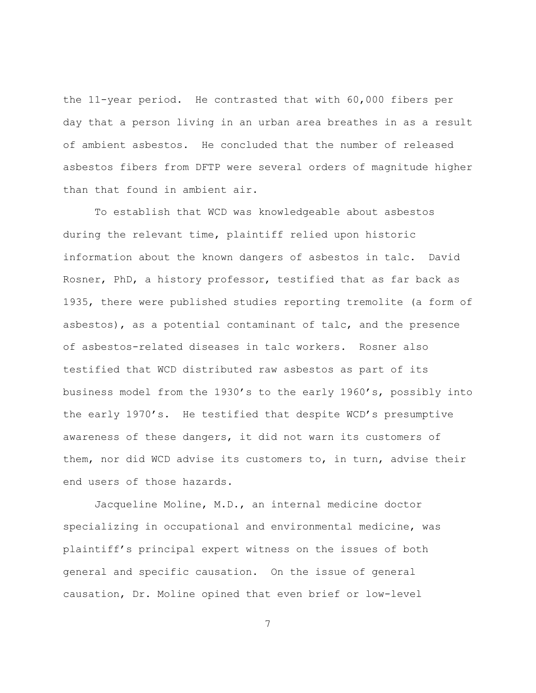the 11-year period. He contrasted that with 60,000 fibers per day that a person living in an urban area breathes in as a result of ambient asbestos. He concluded that the number of released asbestos fibers from DFTP were several orders of magnitude higher than that found in ambient air.

To establish that WCD was knowledgeable about asbestos during the relevant time, plaintiff relied upon historic information about the known dangers of asbestos in talc. David Rosner, PhD, a history professor, testified that as far back as 1935, there were published studies reporting tremolite (a form of asbestos), as a potential contaminant of talc, and the presence of asbestos-related diseases in talc workers. Rosner also testified that WCD distributed raw asbestos as part of its business model from the 1930's to the early 1960's, possibly into the early 1970's. He testified that despite WCD's presumptive awareness of these dangers, it did not warn its customers of them, nor did WCD advise its customers to, in turn, advise their end users of those hazards.

Jacqueline Moline, M.D., an internal medicine doctor specializing in occupational and environmental medicine, was plaintiff's principal expert witness on the issues of both general and specific causation. On the issue of general causation, Dr. Moline opined that even brief or low-level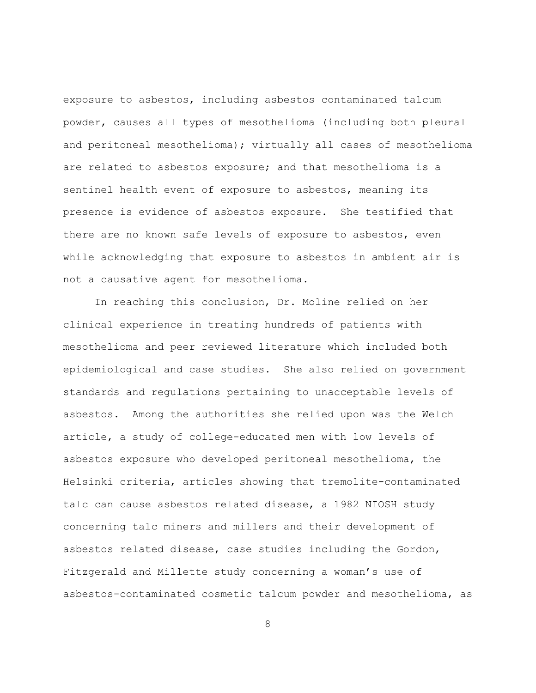exposure to asbestos, including asbestos contaminated talcum powder, causes all types of mesothelioma (including both pleural and peritoneal mesothelioma); virtually all cases of mesothelioma are related to asbestos exposure; and that mesothelioma is a sentinel health event of exposure to asbestos, meaning its presence is evidence of asbestos exposure. She testified that there are no known safe levels of exposure to asbestos, even while acknowledging that exposure to asbestos in ambient air is not a causative agent for mesothelioma.

In reaching this conclusion, Dr. Moline relied on her clinical experience in treating hundreds of patients with mesothelioma and peer reviewed literature which included both epidemiological and case studies. She also relied on government standards and regulations pertaining to unacceptable levels of asbestos. Among the authorities she relied upon was the Welch article, a study of college-educated men with low levels of asbestos exposure who developed peritoneal mesothelioma, the Helsinki criteria, articles showing that tremolite-contaminated talc can cause asbestos related disease, a 1982 NIOSH study concerning talc miners and millers and their development of asbestos related disease, case studies including the Gordon, Fitzgerald and Millette study concerning a woman's use of asbestos-contaminated cosmetic talcum powder and mesothelioma, as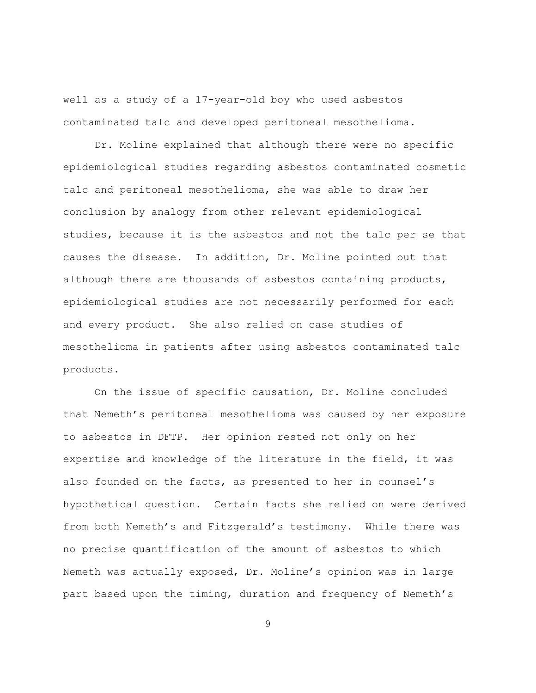well as a study of a 17-year-old boy who used asbestos contaminated talc and developed peritoneal mesothelioma.

Dr. Moline explained that although there were no specific epidemiological studies regarding asbestos contaminated cosmetic talc and peritoneal mesothelioma, she was able to draw her conclusion by analogy from other relevant epidemiological studies, because it is the asbestos and not the talc per se that causes the disease. In addition, Dr. Moline pointed out that although there are thousands of asbestos containing products, epidemiological studies are not necessarily performed for each and every product. She also relied on case studies of mesothelioma in patients after using asbestos contaminated talc products.

On the issue of specific causation, Dr. Moline concluded that Nemeth's peritoneal mesothelioma was caused by her exposure to asbestos in DFTP. Her opinion rested not only on her expertise and knowledge of the literature in the field, it was also founded on the facts, as presented to her in counsel's hypothetical question. Certain facts she relied on were derived from both Nemeth's and Fitzgerald's testimony. While there was no precise quantification of the amount of asbestos to which Nemeth was actually exposed, Dr. Moline's opinion was in large part based upon the timing, duration and frequency of Nemeth's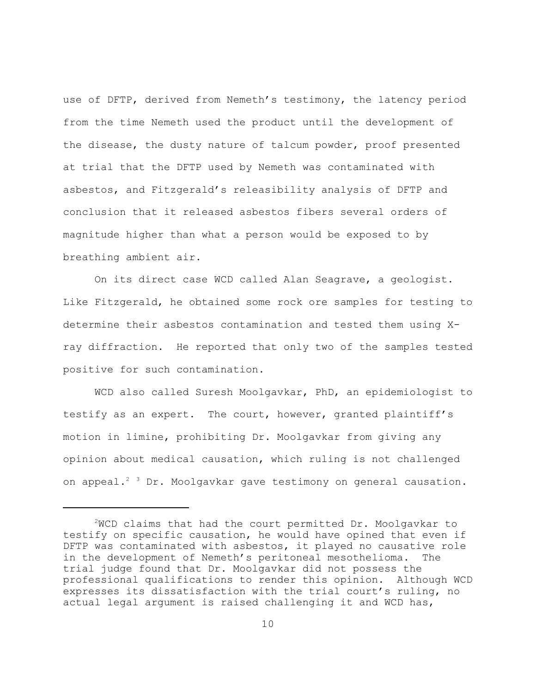use of DFTP, derived from Nemeth's testimony, the latency period from the time Nemeth used the product until the development of the disease, the dusty nature of talcum powder, proof presented at trial that the DFTP used by Nemeth was contaminated with asbestos, and Fitzgerald's releasibility analysis of DFTP and conclusion that it released asbestos fibers several orders of magnitude higher than what a person would be exposed to by breathing ambient air.

On its direct case WCD called Alan Seagrave, a geologist. Like Fitzgerald, he obtained some rock ore samples for testing to determine their asbestos contamination and tested them using Xray diffraction. He reported that only two of the samples tested positive for such contamination.

WCD also called Suresh Moolgavkar, PhD, an epidemiologist to testify as an expert. The court, however, granted plaintiff's motion in limine, prohibiting Dr. Moolgavkar from giving any opinion about medical causation, which ruling is not challenged on appeal.<sup>2 3</sup> Dr. Moolgavkar gave testimony on general causation.

<sup>2</sup>WCD claims that had the court permitted Dr. Moolgavkar to testify on specific causation, he would have opined that even if DFTP was contaminated with asbestos, it played no causative role in the development of Nemeth's peritoneal mesothelioma. The trial judge found that Dr. Moolgavkar did not possess the professional qualifications to render this opinion. Although WCD expresses its dissatisfaction with the trial court's ruling, no actual legal argument is raised challenging it and WCD has,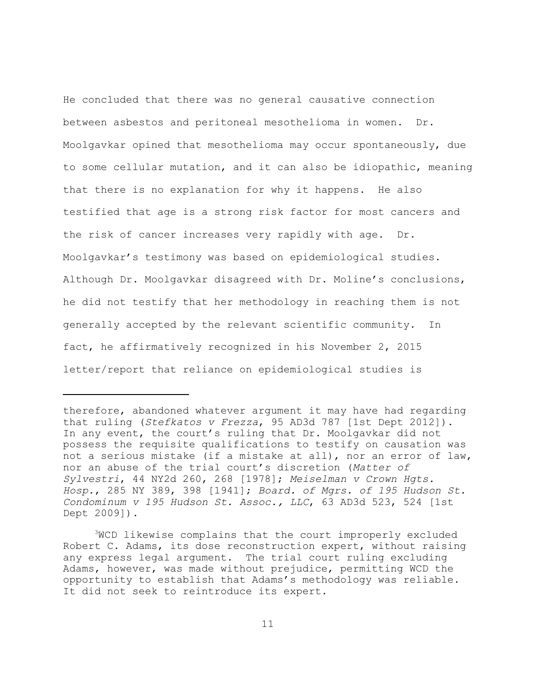He concluded that there was no general causative connection between asbestos and peritoneal mesothelioma in women. Dr. Moolgavkar opined that mesothelioma may occur spontaneously, due to some cellular mutation, and it can also be idiopathic, meaning that there is no explanation for why it happens. He also testified that age is a strong risk factor for most cancers and the risk of cancer increases very rapidly with age. Dr. Moolgavkar's testimony was based on epidemiological studies. Although Dr. Moolgavkar disagreed with Dr. Moline's conclusions, he did not testify that her methodology in reaching them is not generally accepted by the relevant scientific community. In fact, he affirmatively recognized in his November 2, 2015 letter/report that reliance on epidemiological studies is

therefore, abandoned whatever argument it may have had regarding that ruling (*Stefkatos v Frezza*, 95 AD3d 787 [1st Dept 2012]). In any event, the court's ruling that Dr. Moolgavkar did not possess the requisite qualifications to testify on causation was not a serious mistake (if a mistake at all), nor an error of law, nor an abuse of the trial court's discretion (*Matter of Sylvestri*, 44 NY2d 260, 268 [1978]; *Meiselman v Crown Hgts. Hosp.*, 285 NY 389, 398 [1941]; *Board. of Mgrs. of 195 Hudson St. Condominum v 195 Hudson St. Assoc., LLC*, 63 AD3d 523, 524 [1st Dept 2009]).

<sup>3</sup>WCD likewise complains that the court improperly excluded Robert C. Adams, its dose reconstruction expert, without raising any express legal argument. The trial court ruling excluding Adams, however, was made without prejudice, permitting WCD the opportunity to establish that Adams's methodology was reliable. It did not seek to reintroduce its expert.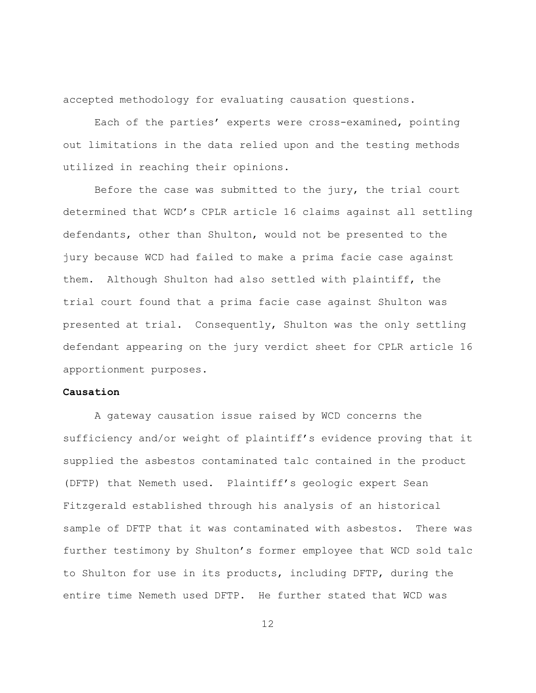accepted methodology for evaluating causation questions.

Each of the parties' experts were cross-examined, pointing out limitations in the data relied upon and the testing methods utilized in reaching their opinions.

Before the case was submitted to the jury, the trial court determined that WCD's CPLR article 16 claims against all settling defendants, other than Shulton, would not be presented to the jury because WCD had failed to make a prima facie case against them. Although Shulton had also settled with plaintiff, the trial court found that a prima facie case against Shulton was presented at trial. Consequently, Shulton was the only settling defendant appearing on the jury verdict sheet for CPLR article 16 apportionment purposes.

## **Causation**

A gateway causation issue raised by WCD concerns the sufficiency and/or weight of plaintiff's evidence proving that it supplied the asbestos contaminated talc contained in the product (DFTP) that Nemeth used. Plaintiff's geologic expert Sean Fitzgerald established through his analysis of an historical sample of DFTP that it was contaminated with asbestos. There was further testimony by Shulton's former employee that WCD sold talc to Shulton for use in its products, including DFTP, during the entire time Nemeth used DFTP. He further stated that WCD was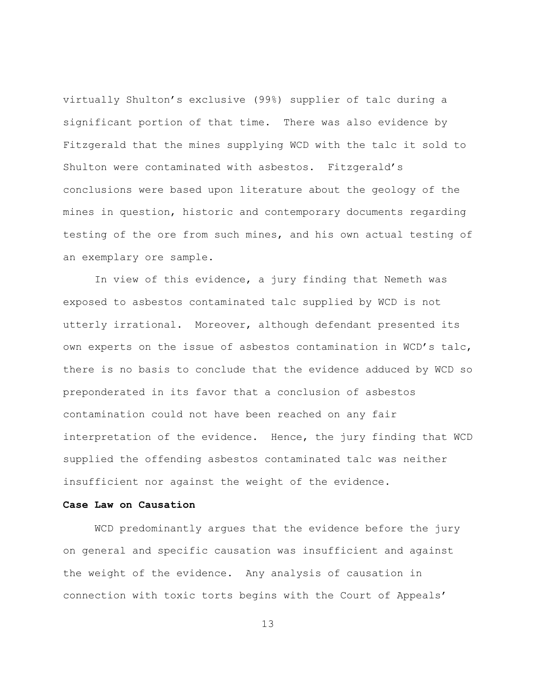virtually Shulton's exclusive (99%) supplier of talc during a significant portion of that time. There was also evidence by Fitzgerald that the mines supplying WCD with the talc it sold to Shulton were contaminated with asbestos. Fitzgerald's conclusions were based upon literature about the geology of the mines in question, historic and contemporary documents regarding testing of the ore from such mines, and his own actual testing of an exemplary ore sample.

In view of this evidence, a jury finding that Nemeth was exposed to asbestos contaminated talc supplied by WCD is not utterly irrational. Moreover, although defendant presented its own experts on the issue of asbestos contamination in WCD's talc, there is no basis to conclude that the evidence adduced by WCD so preponderated in its favor that a conclusion of asbestos contamination could not have been reached on any fair interpretation of the evidence. Hence, the jury finding that WCD supplied the offending asbestos contaminated talc was neither insufficient nor against the weight of the evidence.

# **Case Law on Causation**

WCD predominantly argues that the evidence before the jury on general and specific causation was insufficient and against the weight of the evidence. Any analysis of causation in connection with toxic torts begins with the Court of Appeals'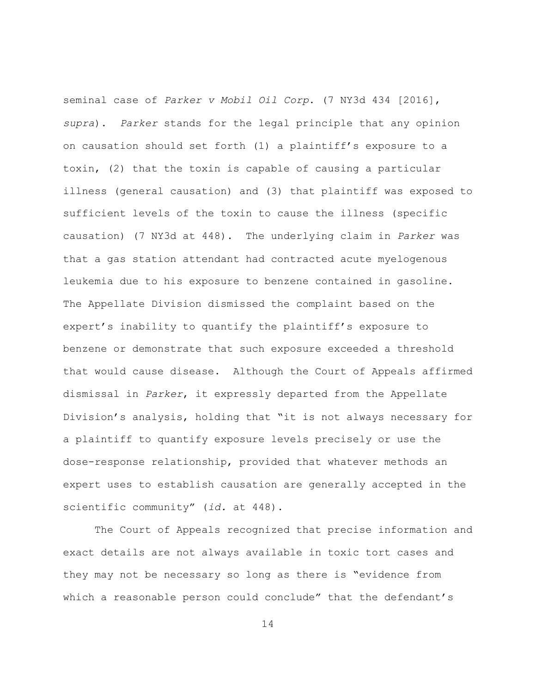seminal case of *Parker v Mobil Oil Corp*. (7 NY3d 434 [2016], *supra*). *Parker* stands for the legal principle that any opinion on causation should set forth (1) a plaintiff's exposure to a toxin, (2) that the toxin is capable of causing a particular illness (general causation) and (3) that plaintiff was exposed to sufficient levels of the toxin to cause the illness (specific causation) (7 NY3d at 448). The underlying claim in *Parker* was that a gas station attendant had contracted acute myelogenous leukemia due to his exposure to benzene contained in gasoline. The Appellate Division dismissed the complaint based on the expert's inability to quantify the plaintiff's exposure to benzene or demonstrate that such exposure exceeded a threshold that would cause disease. Although the Court of Appeals affirmed dismissal in *Parker*, it expressly departed from the Appellate Division's analysis, holding that "it is not always necessary for a plaintiff to quantify exposure levels precisely or use the dose-response relationship, provided that whatever methods an expert uses to establish causation are generally accepted in the scientific community" (*id.* at 448).

The Court of Appeals recognized that precise information and exact details are not always available in toxic tort cases and they may not be necessary so long as there is "evidence from which a reasonable person could conclude" that the defendant's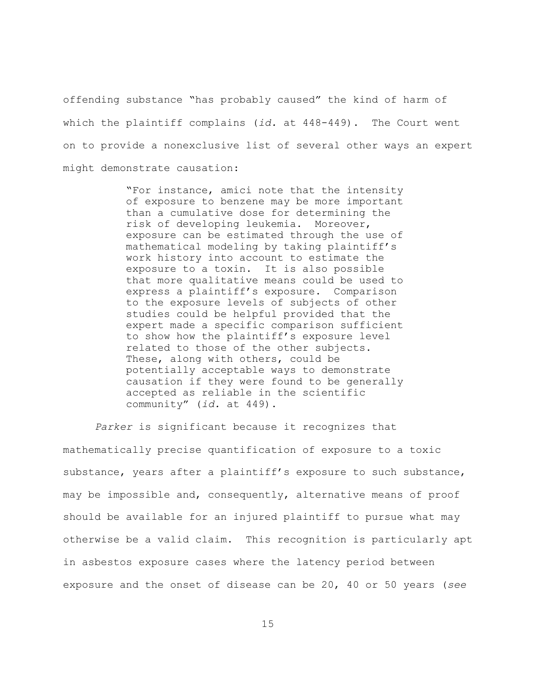offending substance "has probably caused" the kind of harm of which the plaintiff complains (*id.* at 448-449). The Court went on to provide a nonexclusive list of several other ways an expert might demonstrate causation:

> "For instance, amici note that the intensity of exposure to benzene may be more important than a cumulative dose for determining the risk of developing leukemia. Moreover, exposure can be estimated through the use of mathematical modeling by taking plaintiff's work history into account to estimate the exposure to a toxin. It is also possible that more qualitative means could be used to express a plaintiff's exposure. Comparison to the exposure levels of subjects of other studies could be helpful provided that the expert made a specific comparison sufficient to show how the plaintiff's exposure level related to those of the other subjects. These, along with others, could be potentially acceptable ways to demonstrate causation if they were found to be generally accepted as reliable in the scientific community" (*id.* at 449).

*Parker* is significant because it recognizes that mathematically precise quantification of exposure to a toxic substance, years after a plaintiff's exposure to such substance, may be impossible and, consequently, alternative means of proof should be available for an injured plaintiff to pursue what may otherwise be a valid claim. This recognition is particularly apt in asbestos exposure cases where the latency period between exposure and the onset of disease can be 20, 40 or 50 years (*see*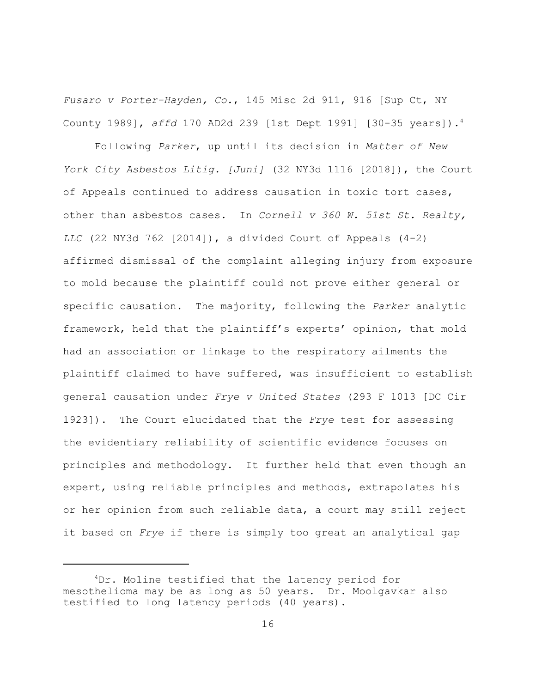*Fusaro v Porter-Hayden, Co.*, 145 Misc 2d 911, 916 [Sup Ct, NY County 1989], *affd* 170 AD2d 239 [1st Dept 1991] [30-35 years]).<sup>4</sup>

Following *Parker*, up until its decision in *Matter of New York City Asbestos Litig. [Juni]* (32 NY3d 1116 [2018]), the Court of Appeals continued to address causation in toxic tort cases, other than asbestos cases. In *Cornell v 360 W. 51st St. Realty, LLC* (22 NY3d 762 [2014]), a divided Court of Appeals (4-2) affirmed dismissal of the complaint alleging injury from exposure to mold because the plaintiff could not prove either general or specific causation. The majority, following the *Parker* analytic framework, held that the plaintiff's experts' opinion, that mold had an association or linkage to the respiratory ailments the plaintiff claimed to have suffered, was insufficient to establish general causation under *Frye v United States* (293 F 1013 [DC Cir 1923]). The Court elucidated that the *Frye* test for assessing the evidentiary reliability of scientific evidence focuses on principles and methodology. It further held that even though an expert, using reliable principles and methods, extrapolates his or her opinion from such reliable data, a court may still reject it based on *Frye* if there is simply too great an analytical gap

<sup>4</sup>Dr. Moline testified that the latency period for mesothelioma may be as long as 50 years. Dr. Moolgavkar also testified to long latency periods (40 years).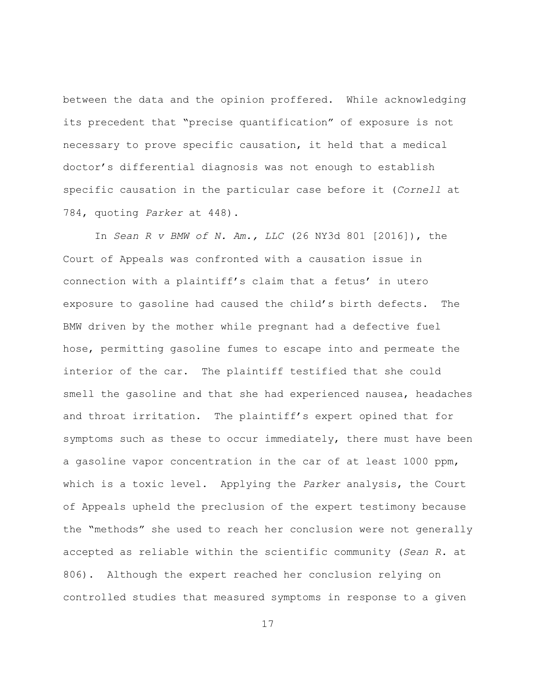between the data and the opinion proffered. While acknowledging its precedent that "precise quantification" of exposure is not necessary to prove specific causation, it held that a medical doctor's differential diagnosis was not enough to establish specific causation in the particular case before it (*Cornell* at 784, quoting *Parker* at 448).

In *Sean R v BMW of N. Am., LLC* (26 NY3d 801 [2016]), the Court of Appeals was confronted with a causation issue in connection with a plaintiff's claim that a fetus' in utero exposure to gasoline had caused the child's birth defects. The BMW driven by the mother while pregnant had a defective fuel hose, permitting gasoline fumes to escape into and permeate the interior of the car. The plaintiff testified that she could smell the gasoline and that she had experienced nausea, headaches and throat irritation. The plaintiff's expert opined that for symptoms such as these to occur immediately, there must have been a gasoline vapor concentration in the car of at least 1000 ppm, which is a toxic level. Applying the *Parker* analysis, the Court of Appeals upheld the preclusion of the expert testimony because the "methods" she used to reach her conclusion were not generally accepted as reliable within the scientific community (*Sean R.* at 806). Although the expert reached her conclusion relying on controlled studies that measured symptoms in response to a given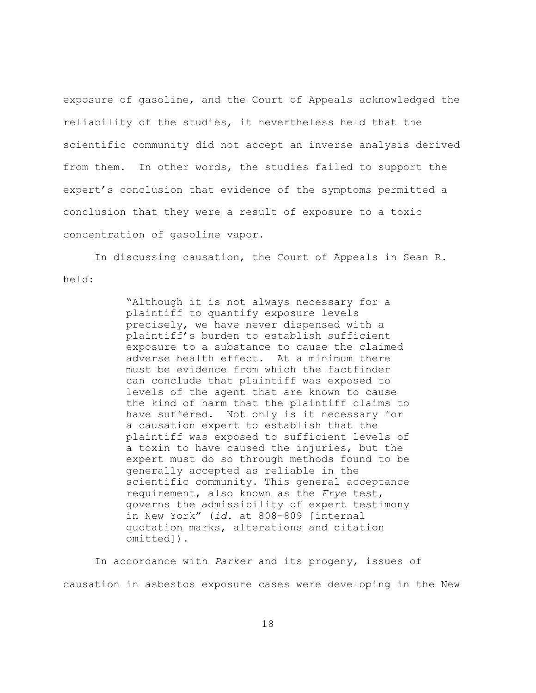exposure of gasoline, and the Court of Appeals acknowledged the reliability of the studies, it nevertheless held that the scientific community did not accept an inverse analysis derived from them. In other words, the studies failed to support the expert's conclusion that evidence of the symptoms permitted a conclusion that they were a result of exposure to a toxic concentration of gasoline vapor.

In discussing causation, the Court of Appeals in Sean R. held:

> "Although it is not always necessary for a plaintiff to quantify exposure levels precisely, we have never dispensed with a plaintiff's burden to establish sufficient exposure to a substance to cause the claimed adverse health effect. At a minimum there must be evidence from which the factfinder can conclude that plaintiff was exposed to levels of the agent that are known to cause the kind of harm that the plaintiff claims to have suffered. Not only is it necessary for a causation expert to establish that the plaintiff was exposed to sufficient levels of a toxin to have caused the injuries, but the expert must do so through methods found to be generally accepted as reliable in the scientific community. This general acceptance requirement, also known as the *Frye* test, governs the admissibility of expert testimony in New York" (*id*. at 808-809 [internal quotation marks, alterations and citation omitted]).

In accordance with *Parker* and its progeny, issues of causation in asbestos exposure cases were developing in the New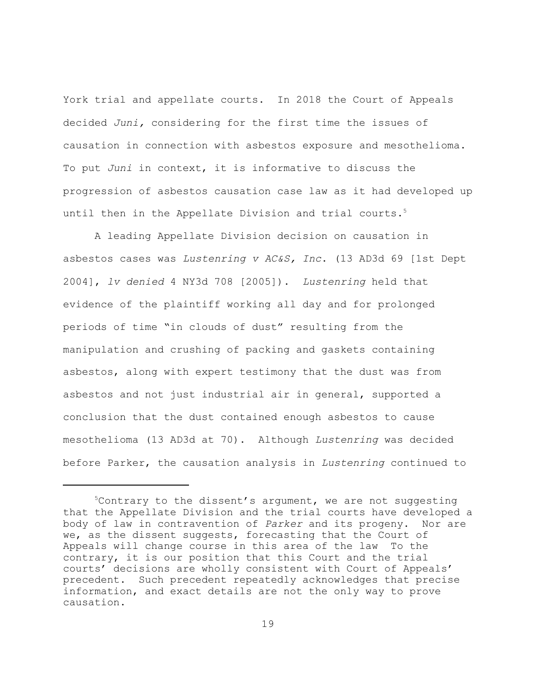York trial and appellate courts. In 2018 the Court of Appeals decided *Juni,* considering for the first time the issues of causation in connection with asbestos exposure and mesothelioma. To put *Juni* in context, it is informative to discuss the progression of asbestos causation case law as it had developed up until then in the Appellate Division and trial courts.<sup>5</sup>

A leading Appellate Division decision on causation in asbestos cases was *Lustenring v AC&S, Inc*. (13 AD3d 69 [1st Dept 2004], *lv denied* 4 NY3d 708 [2005]). *Lustenring* held that evidence of the plaintiff working all day and for prolonged periods of time "in clouds of dust" resulting from the manipulation and crushing of packing and gaskets containing asbestos, along with expert testimony that the dust was from asbestos and not just industrial air in general, supported a conclusion that the dust contained enough asbestos to cause mesothelioma (13 AD3d at 70). Although *Lustenring* was decided before Parker, the causation analysis in *Lustenring* continued to

 $5$ Contrary to the dissent's argument, we are not suggesting that the Appellate Division and the trial courts have developed a body of law in contravention of *Parker* and its progeny. Nor are we, as the dissent suggests, forecasting that the Court of Appeals will change course in this area of the law To the contrary, it is our position that this Court and the trial courts' decisions are wholly consistent with Court of Appeals' precedent. Such precedent repeatedly acknowledges that precise information, and exact details are not the only way to prove causation.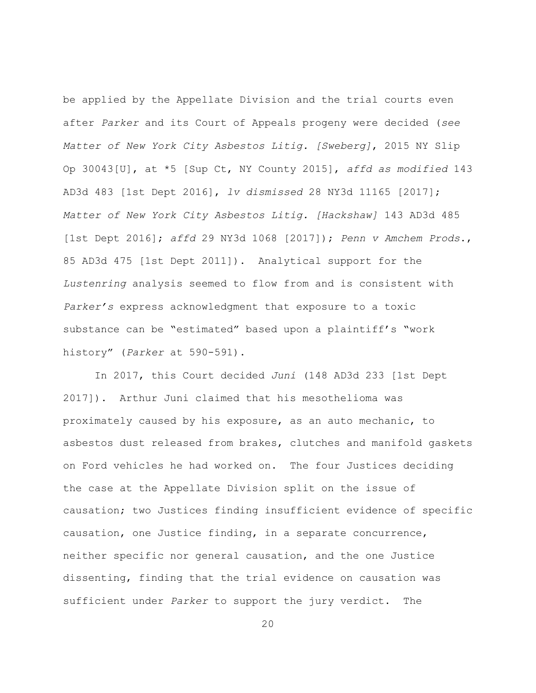be applied by the Appellate Division and the trial courts even after *Parker* and its Court of Appeals progeny were decided (*see Matter of New York City Asbestos Litig. [Sweberg]*, 2015 NY Slip Op 30043[U], at \*5 [Sup Ct, NY County 2015], *affd as modified* 143 AD3d 483 [1st Dept 2016], *lv dismissed* 28 NY3d 11165 [2017]; *Matter of New York City Asbestos Litig. [Hackshaw]* 143 AD3d 485 [1st Dept 2016]; *affd* 29 NY3d 1068 [2017]); *Penn v Amchem Prods*., 85 AD3d 475 [1st Dept 2011]). Analytical support for the *Lustenring* analysis seemed to flow from and is consistent with *Parker's* express acknowledgment that exposure to a toxic substance can be "estimated" based upon a plaintiff's "work history" (*Parker* at 590-591).

In 2017, this Court decided *Juni* (148 AD3d 233 [1st Dept 2017]). Arthur Juni claimed that his mesothelioma was proximately caused by his exposure, as an auto mechanic, to asbestos dust released from brakes, clutches and manifold gaskets on Ford vehicles he had worked on. The four Justices deciding the case at the Appellate Division split on the issue of causation; two Justices finding insufficient evidence of specific causation, one Justice finding, in a separate concurrence, neither specific nor general causation, and the one Justice dissenting, finding that the trial evidence on causation was sufficient under *Parker* to support the jury verdict. The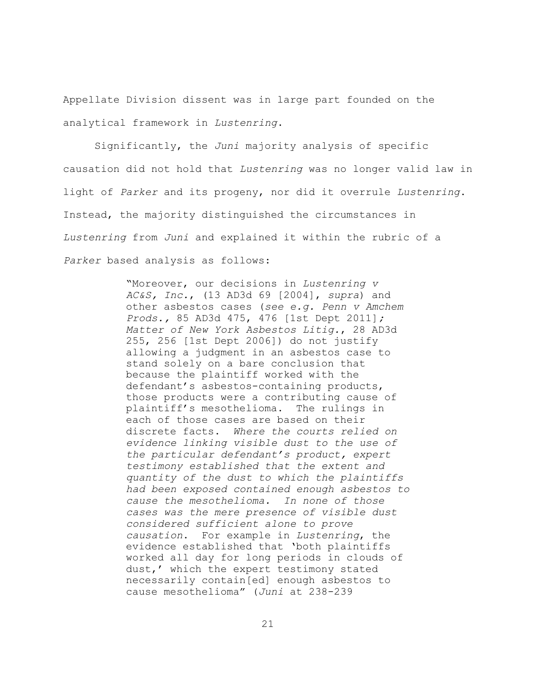Appellate Division dissent was in large part founded on the analytical framework in *Lustenring*.

Significantly, the *Juni* majority analysis of specific causation did not hold that *Lustenring* was no longer valid law in light of *Parker* and its progeny, nor did it overrule *Lustenring*. Instead, the majority distinguished the circumstances in *Lustenring* from *Juni* and explained it within the rubric of a *Parker* based analysis as follows:

> "Moreover, our decisions in *Lustenring v AC&S, Inc.*, (13 AD3d 69 [2004], *supra*) and other asbestos cases (*see e.g. Penn v Amchem Prods.,* 85 AD3d 475, 476 [1st Dept 2011]*; Matter of New York Asbestos Litig.*, 28 AD3d 255, 256 [1st Dept 2006]) do not justify allowing a judgment in an asbestos case to stand solely on a bare conclusion that because the plaintiff worked with the defendant's asbestos-containing products, those products were a contributing cause of plaintiff's mesothelioma. The rulings in each of those cases are based on their discrete facts. *Where the courts relied on evidence linking visible dust to the use of the particular defendant's product, expert testimony established that the extent and quantity of the dust to which the plaintiffs had been exposed contained enough asbestos to cause the mesothelioma. In none of those cases was the mere presence of visible dust considered sufficient alone to prove causation*. For example in *Lustenring*, the evidence established that 'both plaintiffs worked all day for long periods in clouds of dust,' which the expert testimony stated necessarily contain[ed] enough asbestos to cause mesothelioma" (*Juni* at 238-239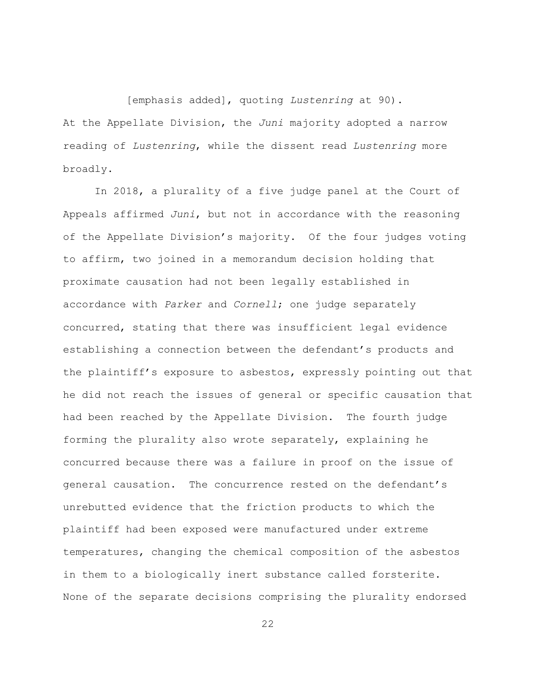[emphasis added], quoting *Lustenring* at 90). At the Appellate Division, the *Juni* majority adopted a narrow reading of *Lustenring*, while the dissent read *Lustenring* more broadly.

In 2018, a plurality of a five judge panel at the Court of Appeals affirmed *Juni*, but not in accordance with the reasoning of the Appellate Division's majority. Of the four judges voting to affirm, two joined in a memorandum decision holding that proximate causation had not been legally established in accordance with *Parker* and *Cornell*; one judge separately concurred, stating that there was insufficient legal evidence establishing a connection between the defendant's products and the plaintiff's exposure to asbestos, expressly pointing out that he did not reach the issues of general or specific causation that had been reached by the Appellate Division. The fourth judge forming the plurality also wrote separately, explaining he concurred because there was a failure in proof on the issue of general causation. The concurrence rested on the defendant's unrebutted evidence that the friction products to which the plaintiff had been exposed were manufactured under extreme temperatures, changing the chemical composition of the asbestos in them to a biologically inert substance called forsterite. None of the separate decisions comprising the plurality endorsed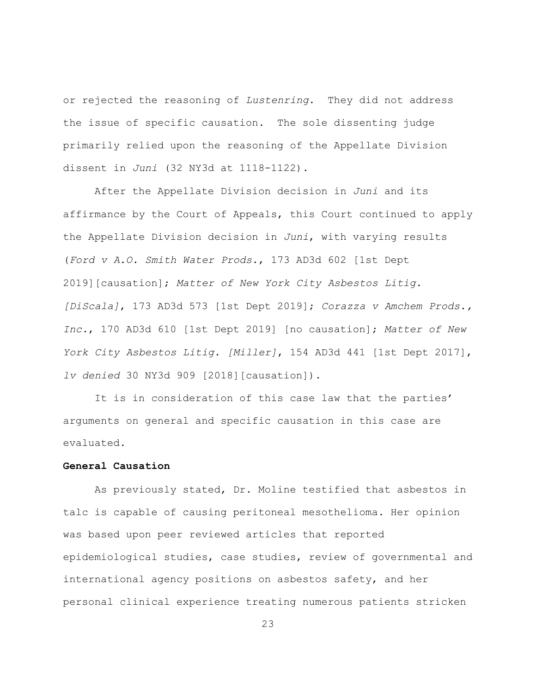or rejected the reasoning of *Lustenring*. They did not address the issue of specific causation. The sole dissenting judge primarily relied upon the reasoning of the Appellate Division dissent in *Juni* (32 NY3d at 1118-1122).

After the Appellate Division decision in *Juni* and its affirmance by the Court of Appeals, this Court continued to apply the Appellate Division decision in *Juni*, with varying results (*Ford v A.O. Smith Water Prods.*, 173 AD3d 602 [1st Dept 2019][causation]; *Matter of New York City Asbestos Litig. [DiScala]*, 173 AD3d 573 [1st Dept 2019]; *Corazza v Amchem Prods., Inc.*, 170 AD3d 610 [1st Dept 2019] [no causation]; *Matter of New York City Asbestos Litig. [Miller]*, 154 AD3d 441 [1st Dept 2017], *lv denied* 30 NY3d 909 [2018][causation]).

It is in consideration of this case law that the parties' arguments on general and specific causation in this case are evaluated.

## **General Causation**

As previously stated, Dr. Moline testified that asbestos in talc is capable of causing peritoneal mesothelioma. Her opinion was based upon peer reviewed articles that reported epidemiological studies, case studies, review of governmental and international agency positions on asbestos safety, and her personal clinical experience treating numerous patients stricken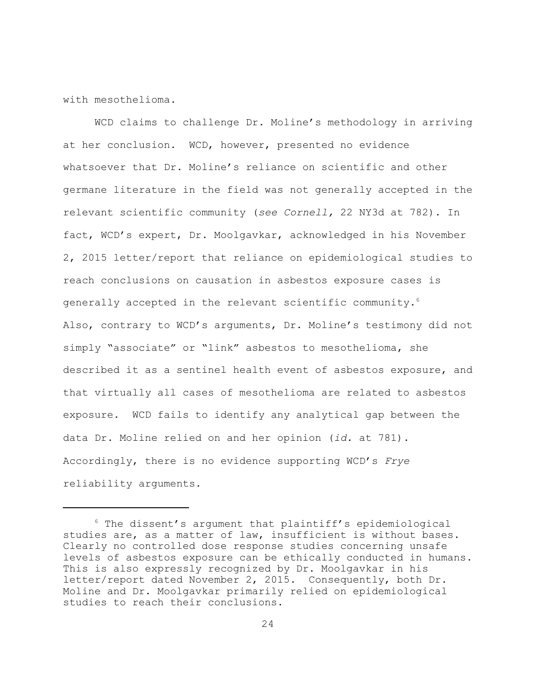with mesothelioma.

WCD claims to challenge Dr. Moline's methodology in arriving at her conclusion. WCD, however, presented no evidence whatsoever that Dr. Moline's reliance on scientific and other germane literature in the field was not generally accepted in the relevant scientific community (*see Cornell,* 22 NY3d at 782). In fact, WCD's expert, Dr. Moolgavkar, acknowledged in his November 2, 2015 letter/report that reliance on epidemiological studies to reach conclusions on causation in asbestos exposure cases is generally accepted in the relevant scientific community.<sup>6</sup> Also, contrary to WCD's arguments, Dr. Moline's testimony did not simply "associate" or "link" asbestos to mesothelioma, she described it as a sentinel health event of asbestos exposure, and that virtually all cases of mesothelioma are related to asbestos exposure. WCD fails to identify any analytical gap between the data Dr. Moline relied on and her opinion (*id.* at 781). Accordingly, there is no evidence supporting WCD's *Frye* reliability arguments.

 $6$  The dissent's argument that plaintiff's epidemiological studies are, as a matter of law, insufficient is without bases. Clearly no controlled dose response studies concerning unsafe levels of asbestos exposure can be ethically conducted in humans. This is also expressly recognized by Dr. Moolgavkar in his letter/report dated November 2, 2015. Consequently, both Dr. Moline and Dr. Moolgavkar primarily relied on epidemiological studies to reach their conclusions.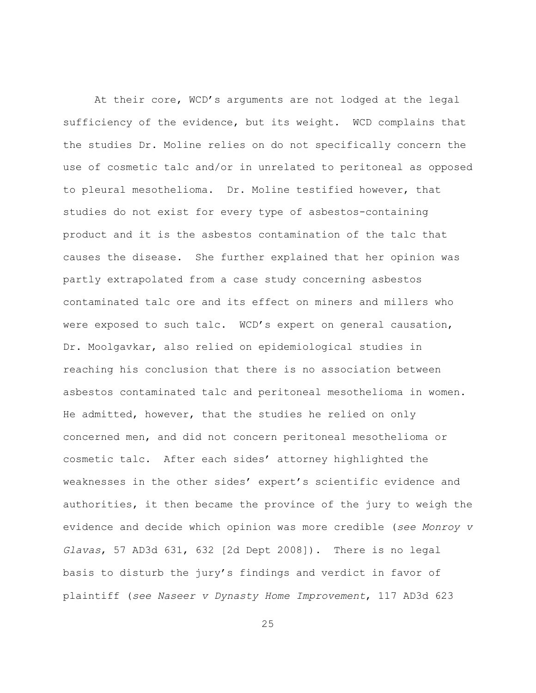At their core, WCD's arguments are not lodged at the legal sufficiency of the evidence, but its weight. WCD complains that the studies Dr. Moline relies on do not specifically concern the use of cosmetic talc and/or in unrelated to peritoneal as opposed to pleural mesothelioma. Dr. Moline testified however, that studies do not exist for every type of asbestos-containing product and it is the asbestos contamination of the talc that causes the disease. She further explained that her opinion was partly extrapolated from a case study concerning asbestos contaminated talc ore and its effect on miners and millers who were exposed to such talc. WCD's expert on general causation, Dr. Moolgavkar, also relied on epidemiological studies in reaching his conclusion that there is no association between asbestos contaminated talc and peritoneal mesothelioma in women. He admitted, however, that the studies he relied on only concerned men, and did not concern peritoneal mesothelioma or cosmetic talc. After each sides' attorney highlighted the weaknesses in the other sides' expert's scientific evidence and authorities, it then became the province of the jury to weigh the evidence and decide which opinion was more credible (*see Monroy v Glavas*, 57 AD3d 631, 632 [2d Dept 2008]). There is no legal basis to disturb the jury's findings and verdict in favor of plaintiff (*see Naseer v Dynasty Home Improvement*, 117 AD3d 623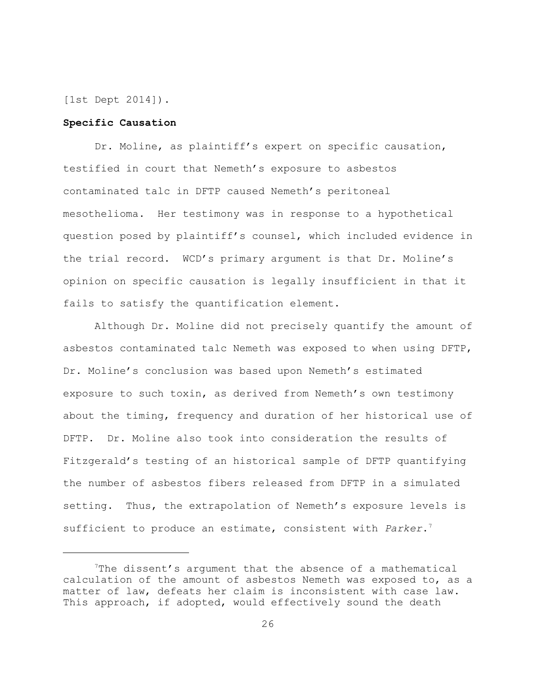[1st Dept 2014]).

## **Specific Causation**

Dr. Moline, as plaintiff's expert on specific causation, testified in court that Nemeth's exposure to asbestos contaminated talc in DFTP caused Nemeth's peritoneal mesothelioma. Her testimony was in response to a hypothetical question posed by plaintiff's counsel, which included evidence in the trial record. WCD's primary argument is that Dr. Moline's opinion on specific causation is legally insufficient in that it fails to satisfy the quantification element.

Although Dr. Moline did not precisely quantify the amount of asbestos contaminated talc Nemeth was exposed to when using DFTP, Dr. Moline's conclusion was based upon Nemeth's estimated exposure to such toxin, as derived from Nemeth's own testimony about the timing, frequency and duration of her historical use of DFTP. Dr. Moline also took into consideration the results of Fitzgerald's testing of an historical sample of DFTP quantifying the number of asbestos fibers released from DFTP in a simulated setting. Thus, the extrapolation of Nemeth's exposure levels is sufficient to produce an estimate, consistent with *Parker*. 7

<sup>7</sup>The dissent's argument that the absence of a mathematical calculation of the amount of asbestos Nemeth was exposed to, as a matter of law, defeats her claim is inconsistent with case law. This approach, if adopted, would effectively sound the death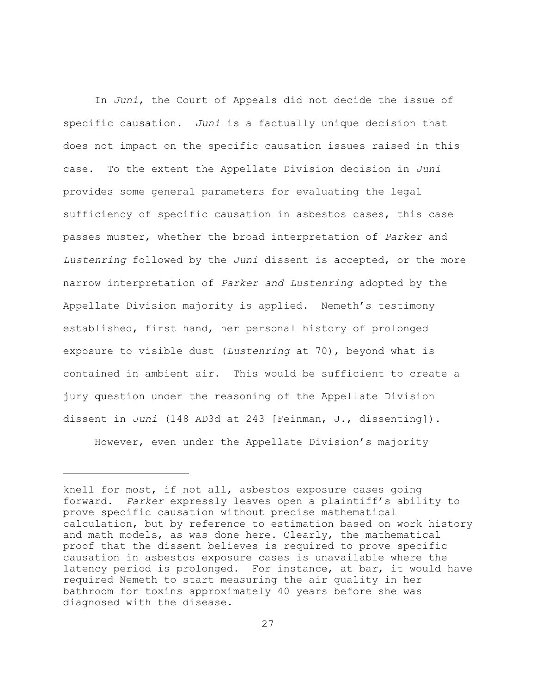In *Juni*, the Court of Appeals did not decide the issue of specific causation. *Juni* is a factually unique decision that does not impact on the specific causation issues raised in this case. To the extent the Appellate Division decision in *Juni* provides some general parameters for evaluating the legal sufficiency of specific causation in asbestos cases, this case passes muster, whether the broad interpretation of *Parker* and *Lustenring* followed by the *Juni* dissent is accepted, or the more narrow interpretation of *Parker and Lustenring* adopted by the Appellate Division majority is applied. Nemeth's testimony established, first hand, her personal history of prolonged exposure to visible dust (*Lustenring* at 70), beyond what is contained in ambient air. This would be sufficient to create a jury question under the reasoning of the Appellate Division dissent in *Juni* (148 AD3d at 243 [Feinman, J., dissenting]).

However, even under the Appellate Division's majority

knell for most, if not all, asbestos exposure cases going forward. *Parker* expressly leaves open a plaintiff's ability to prove specific causation without precise mathematical calculation, but by reference to estimation based on work history and math models, as was done here. Clearly, the mathematical proof that the dissent believes is required to prove specific causation in asbestos exposure cases is unavailable where the latency period is prolonged. For instance, at bar, it would have required Nemeth to start measuring the air quality in her bathroom for toxins approximately 40 years before she was diagnosed with the disease.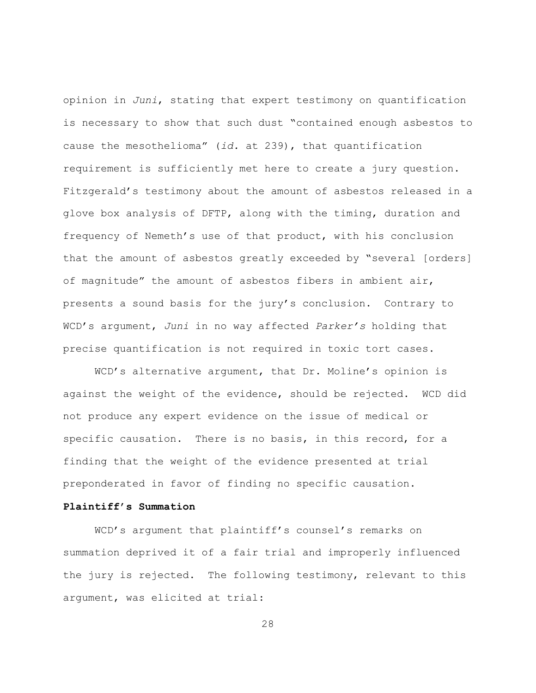opinion in *Juni*, stating that expert testimony on quantification is necessary to show that such dust "contained enough asbestos to cause the mesothelioma" (*id.* at 239), that quantification requirement is sufficiently met here to create a jury question. Fitzgerald's testimony about the amount of asbestos released in a glove box analysis of DFTP, along with the timing, duration and frequency of Nemeth's use of that product, with his conclusion that the amount of asbestos greatly exceeded by "several [orders] of magnitude" the amount of asbestos fibers in ambient air, presents a sound basis for the jury's conclusion. Contrary to WCD's argument, *Juni* in no way affected *Parker's* holding that precise quantification is not required in toxic tort cases.

WCD's alternative argument, that Dr. Moline's opinion is against the weight of the evidence, should be rejected. WCD did not produce any expert evidence on the issue of medical or specific causation. There is no basis, in this record, for a finding that the weight of the evidence presented at trial preponderated in favor of finding no specific causation.

# **Plaintiff's Summation**

WCD's argument that plaintiff's counsel's remarks on summation deprived it of a fair trial and improperly influenced the jury is rejected. The following testimony, relevant to this argument, was elicited at trial: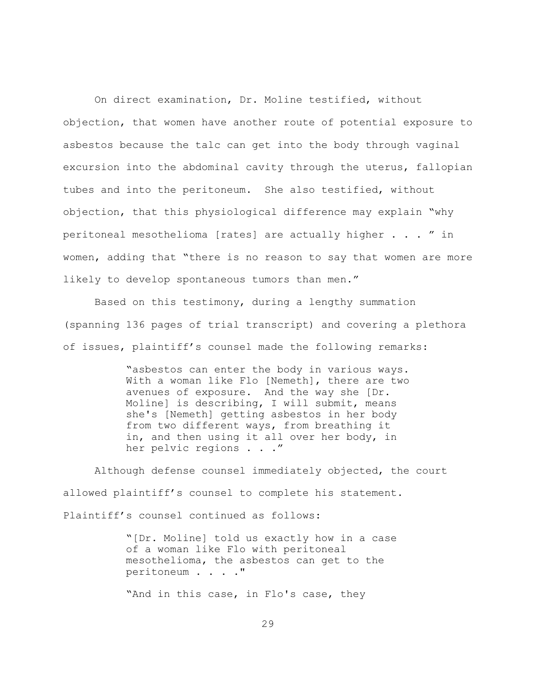On direct examination, Dr. Moline testified, without objection, that women have another route of potential exposure to asbestos because the talc can get into the body through vaginal excursion into the abdominal cavity through the uterus, fallopian tubes and into the peritoneum. She also testified, without objection, that this physiological difference may explain "why peritoneal mesothelioma [rates] are actually higher . . . " in women, adding that "there is no reason to say that women are more likely to develop spontaneous tumors than men."

Based on this testimony, during a lengthy summation (spanning 136 pages of trial transcript) and covering a plethora of issues, plaintiff's counsel made the following remarks:

> "asbestos can enter the body in various ways. With a woman like Flo [Nemeth], there are two avenues of exposure. And the way she [Dr. Moline] is describing, I will submit, means she's [Nemeth] getting asbestos in her body from two different ways, from breathing it in, and then using it all over her body, in her pelvic regions . . ."

Although defense counsel immediately objected, the court allowed plaintiff's counsel to complete his statement. Plaintiff's counsel continued as follows:

> "[Dr. Moline] told us exactly how in a case of a woman like Flo with peritoneal mesothelioma, the asbestos can get to the peritoneum . . . ."

"And in this case, in Flo's case, they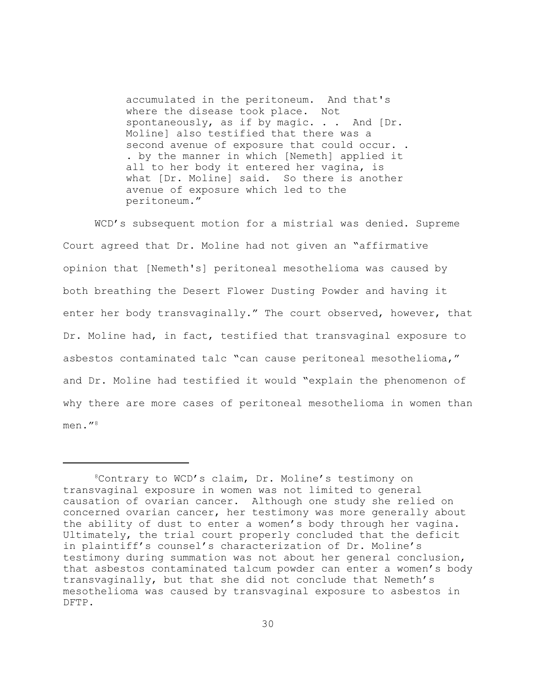accumulated in the peritoneum. And that's where the disease took place. Not spontaneously, as if by magic. . . And [Dr. Moline] also testified that there was a second avenue of exposure that could occur.. . by the manner in which [Nemeth] applied it all to her body it entered her vagina, is what [Dr. Moline] said. So there is another avenue of exposure which led to the peritoneum."

WCD's subsequent motion for a mistrial was denied. Supreme Court agreed that Dr. Moline had not given an "affirmative opinion that [Nemeth's] peritoneal mesothelioma was caused by both breathing the Desert Flower Dusting Powder and having it enter her body transvaginally." The court observed, however, that Dr. Moline had, in fact, testified that transvaginal exposure to asbestos contaminated talc "can cause peritoneal mesothelioma," and Dr. Moline had testified it would "explain the phenomenon of why there are more cases of peritoneal mesothelioma in women than men. $^{\prime\prime}$ <sup>8</sup>

<sup>8</sup>Contrary to WCD's claim, Dr. Moline's testimony on transvaginal exposure in women was not limited to general causation of ovarian cancer. Although one study she relied on concerned ovarian cancer, her testimony was more generally about the ability of dust to enter a women's body through her vagina. Ultimately, the trial court properly concluded that the deficit in plaintiff's counsel's characterization of Dr. Moline's testimony during summation was not about her general conclusion, that asbestos contaminated talcum powder can enter a women's body transvaginally, but that she did not conclude that Nemeth's mesothelioma was caused by transvaginal exposure to asbestos in DFTP.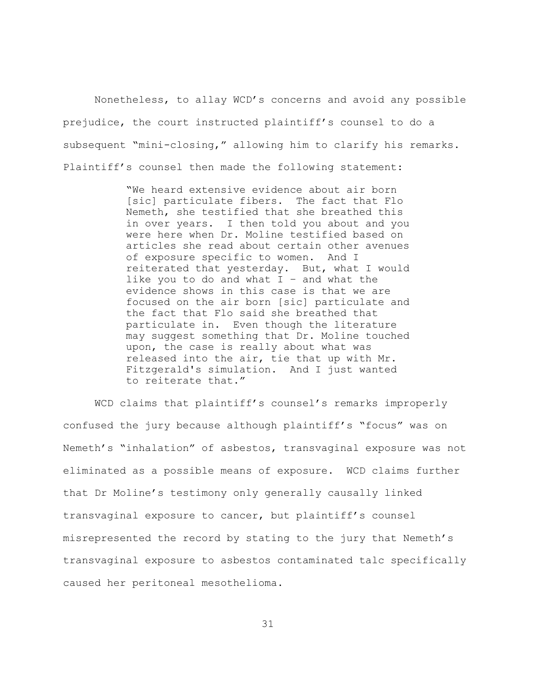Nonetheless, to allay WCD's concerns and avoid any possible prejudice, the court instructed plaintiff's counsel to do a subsequent "mini-closing," allowing him to clarify his remarks. Plaintiff's counsel then made the following statement:

> "We heard extensive evidence about air born [sic] particulate fibers. The fact that Flo Nemeth, she testified that she breathed this in over years. I then told you about and you were here when Dr. Moline testified based on articles she read about certain other avenues of exposure specific to women. And I reiterated that yesterday. But, what I would like you to do and what  $I -$  and what the evidence shows in this case is that we are focused on the air born [sic] particulate and the fact that Flo said she breathed that particulate in. Even though the literature may suggest something that Dr. Moline touched upon, the case is really about what was released into the air, tie that up with Mr. Fitzgerald's simulation. And I just wanted to reiterate that."

WCD claims that plaintiff's counsel's remarks improperly confused the jury because although plaintiff's "focus" was on Nemeth's "inhalation" of asbestos, transvaginal exposure was not eliminated as a possible means of exposure. WCD claims further that Dr Moline's testimony only generally causally linked transvaginal exposure to cancer, but plaintiff's counsel misrepresented the record by stating to the jury that Nemeth's transvaginal exposure to asbestos contaminated talc specifically caused her peritoneal mesothelioma.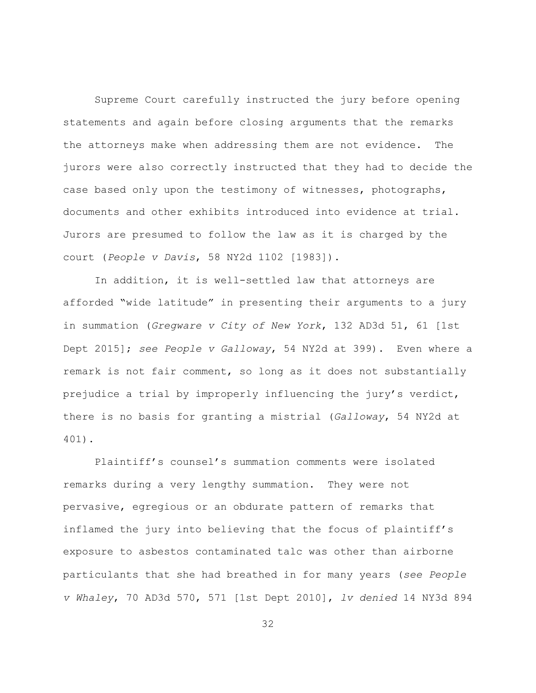Supreme Court carefully instructed the jury before opening statements and again before closing arguments that the remarks the attorneys make when addressing them are not evidence. The jurors were also correctly instructed that they had to decide the case based only upon the testimony of witnesses, photographs, documents and other exhibits introduced into evidence at trial. Jurors are presumed to follow the law as it is charged by the court (*People v Davis*, 58 NY2d 1102 [1983]).

In addition, it is well-settled law that attorneys are afforded "wide latitude" in presenting their arguments to a jury in summation (*Gregware v City of New York*, 132 AD3d 51, 61 [1st Dept 2015]; *see People v Galloway*, 54 NY2d at 399). Even where a remark is not fair comment, so long as it does not substantially prejudice a trial by improperly influencing the jury's verdict, there is no basis for granting a mistrial (*Galloway*, 54 NY2d at 401).

Plaintiff's counsel's summation comments were isolated remarks during a very lengthy summation. They were not pervasive, egregious or an obdurate pattern of remarks that inflamed the jury into believing that the focus of plaintiff's exposure to asbestos contaminated talc was other than airborne particulants that she had breathed in for many years (*see People v Whaley*, 70 AD3d 570, 571 [1st Dept 2010], *lv denied* 14 NY3d 894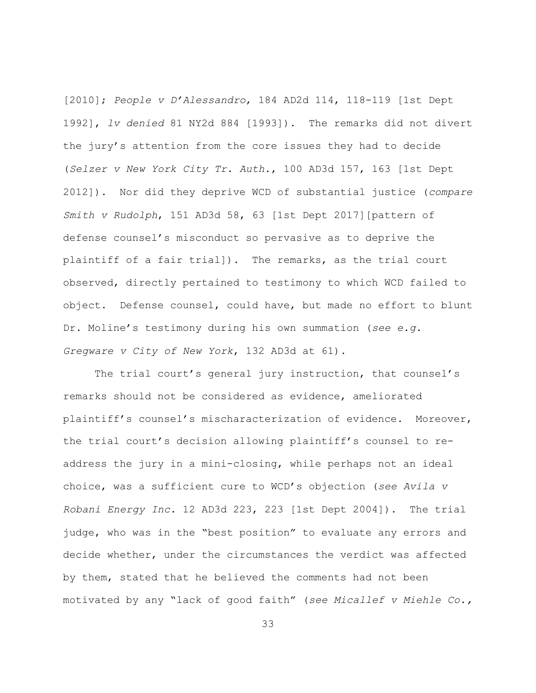[2010]; *People v D'Alessandro*, 184 AD2d 114, 118-119 [1st Dept 1992], *lv denied* 81 NY2d 884 [1993]). The remarks did not divert the jury's attention from the core issues they had to decide (*Selzer v New York City Tr. Auth*., 100 AD3d 157, 163 [1st Dept 2012]). Nor did they deprive WCD of substantial justice (*compare Smith v Rudolph*, 151 AD3d 58, 63 [1st Dept 2017][pattern of defense counsel's misconduct so pervasive as to deprive the plaintiff of a fair trial]). The remarks, as the trial court observed, directly pertained to testimony to which WCD failed to object. Defense counsel, could have, but made no effort to blunt Dr. Moline's testimony during his own summation (*see e.g. Gregware v City of New York*, 132 AD3d at 61).

The trial court's general jury instruction, that counsel's remarks should not be considered as evidence, ameliorated plaintiff's counsel's mischaracterization of evidence. Moreover, the trial court's decision allowing plaintiff's counsel to readdress the jury in a mini-closing, while perhaps not an ideal choice, was a sufficient cure to WCD's objection (*see Avila v Robani Energy Inc.* 12 AD3d 223, 223 [1st Dept 2004]). The trial judge, who was in the "best position" to evaluate any errors and decide whether, under the circumstances the verdict was affected by them, stated that he believed the comments had not been motivated by any "lack of good faith" (*see Micallef v Miehle Co.,*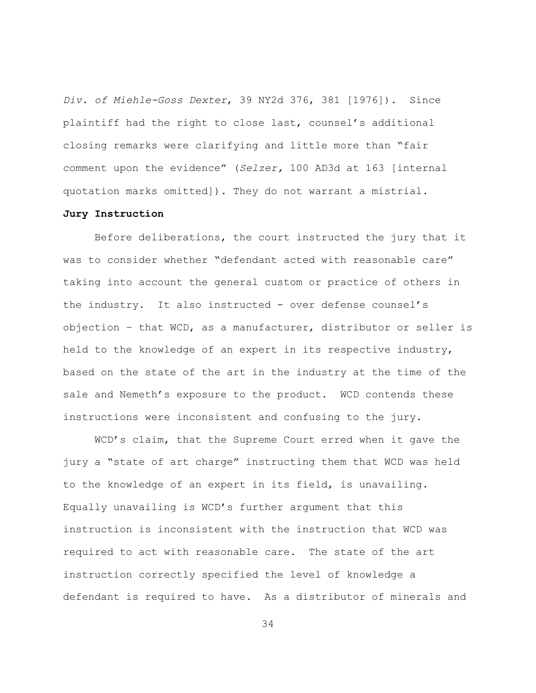*Div. of Miehle-Goss Dexter*, 39 NY2d 376, 381 [1976]). Since plaintiff had the right to close last, counsel's additional closing remarks were clarifying and little more than "fair comment upon the evidence" (*Selzer,* 100 AD3d at 163 [internal quotation marks omitted]). They do not warrant a mistrial.

#### **Jury Instruction**

Before deliberations, the court instructed the jury that it was to consider whether "defendant acted with reasonable care" taking into account the general custom or practice of others in the industry. It also instructed - over defense counsel's objection – that WCD, as a manufacturer, distributor or seller is held to the knowledge of an expert in its respective industry, based on the state of the art in the industry at the time of the sale and Nemeth's exposure to the product. WCD contends these instructions were inconsistent and confusing to the jury.

WCD's claim, that the Supreme Court erred when it gave the jury a "state of art charge" instructing them that WCD was held to the knowledge of an expert in its field, is unavailing. Equally unavailing is WCD's further argument that this instruction is inconsistent with the instruction that WCD was required to act with reasonable care. The state of the art instruction correctly specified the level of knowledge a defendant is required to have. As a distributor of minerals and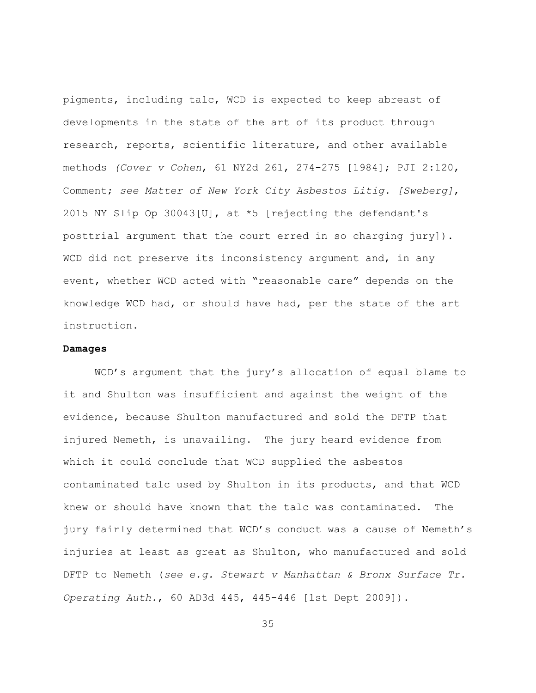pigments, including talc, WCD is expected to keep abreast of developments in the state of the art of its product through research, reports, scientific literature, and other available methods *(Cover v Cohen*, 61 NY2d 261, 274-275 [1984]; PJI 2:120, Comment; *see Matter of New York City Asbestos Litig. [Sweberg]*, 2015 NY Slip Op 30043[U], at \*5 [rejecting the defendant's posttrial argument that the court erred in so charging jury]). WCD did not preserve its inconsistency argument and, in any event, whether WCD acted with "reasonable care" depends on the knowledge WCD had, or should have had, per the state of the art instruction.

#### **Damages**

WCD's argument that the jury's allocation of equal blame to it and Shulton was insufficient and against the weight of the evidence, because Shulton manufactured and sold the DFTP that injured Nemeth, is unavailing. The jury heard evidence from which it could conclude that WCD supplied the asbestos contaminated talc used by Shulton in its products, and that WCD knew or should have known that the talc was contaminated. The jury fairly determined that WCD's conduct was a cause of Nemeth's injuries at least as great as Shulton, who manufactured and sold DFTP to Nemeth (*see e.g. Stewart v Manhattan & Bronx Surface Tr. Operating Auth.*, 60 AD3d 445, 445-446 [1st Dept 2009]).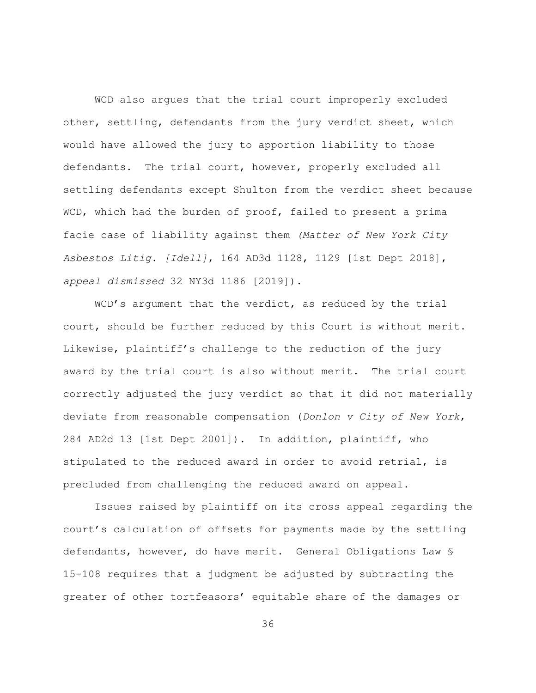WCD also argues that the trial court improperly excluded other, settling, defendants from the jury verdict sheet, which would have allowed the jury to apportion liability to those defendants. The trial court, however, properly excluded all settling defendants except Shulton from the verdict sheet because WCD, which had the burden of proof, failed to present a prima facie case of liability against them *(Matter of New York City Asbestos Litig. [Idell]*, 164 AD3d 1128, 1129 [1st Dept 2018], *appeal dismissed* 32 NY3d 1186 [2019]).

WCD's argument that the verdict, as reduced by the trial court, should be further reduced by this Court is without merit. Likewise, plaintiff's challenge to the reduction of the jury award by the trial court is also without merit. The trial court correctly adjusted the jury verdict so that it did not materially deviate from reasonable compensation (*Donlon v City of New York*, 284 AD2d 13 [1st Dept 2001]). In addition, plaintiff, who stipulated to the reduced award in order to avoid retrial, is precluded from challenging the reduced award on appeal.

Issues raised by plaintiff on its cross appeal regarding the court's calculation of offsets for payments made by the settling defendants, however, do have merit. General Obligations Law § 15-108 requires that a judgment be adjusted by subtracting the greater of other tortfeasors' equitable share of the damages or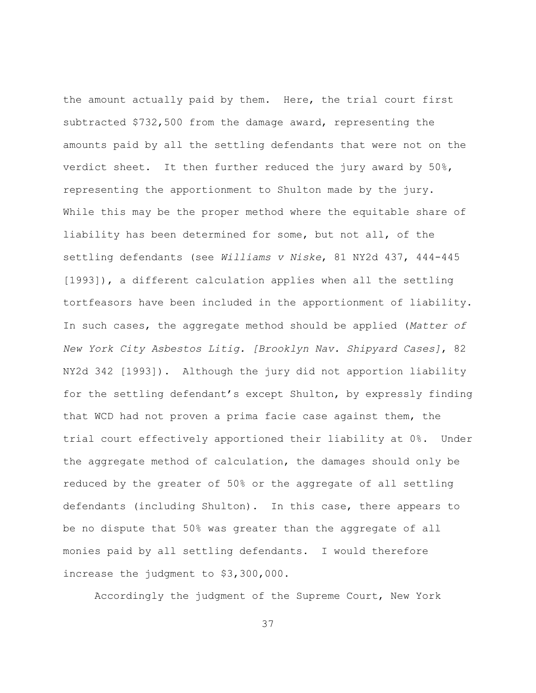the amount actually paid by them. Here, the trial court first subtracted \$732,500 from the damage award, representing the amounts paid by all the settling defendants that were not on the verdict sheet. It then further reduced the jury award by 50%, representing the apportionment to Shulton made by the jury. While this may be the proper method where the equitable share of liability has been determined for some, but not all, of the settling defendants (see *Williams v Niske*, 81 NY2d 437, 444-445 [1993]), a different calculation applies when all the settling tortfeasors have been included in the apportionment of liability. In such cases, the aggregate method should be applied (*Matter of New York City Asbestos Litig. [Brooklyn Nav. Shipyard Cases]*, 82 NY2d 342 [1993]). Although the jury did not apportion liability for the settling defendant's except Shulton, by expressly finding that WCD had not proven a prima facie case against them, the trial court effectively apportioned their liability at 0%. Under the aggregate method of calculation, the damages should only be reduced by the greater of 50% or the aggregate of all settling defendants (including Shulton). In this case, there appears to be no dispute that 50% was greater than the aggregate of all monies paid by all settling defendants. I would therefore increase the judgment to \$3,300,000.

Accordingly the judgment of the Supreme Court, New York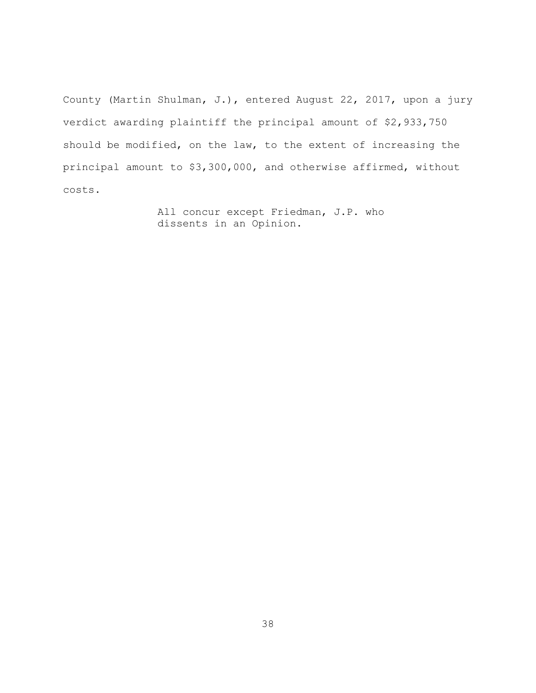County (Martin Shulman, J.), entered August 22, 2017, upon a jury verdict awarding plaintiff the principal amount of \$2,933,750 should be modified, on the law, to the extent of increasing the principal amount to \$3,300,000, and otherwise affirmed, without costs.

> All concur except Friedman, J.P. who dissents in an Opinion.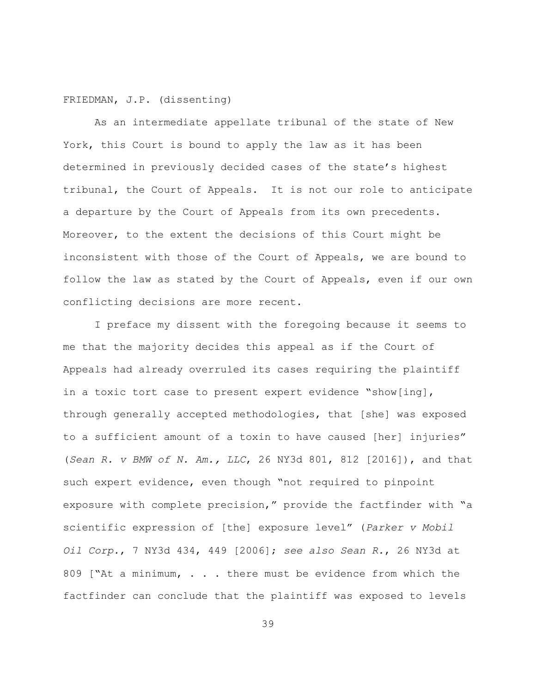## FRIEDMAN, J.P. (dissenting)

As an intermediate appellate tribunal of the state of New York, this Court is bound to apply the law as it has been determined in previously decided cases of the state's highest tribunal, the Court of Appeals. It is not our role to anticipate a departure by the Court of Appeals from its own precedents. Moreover, to the extent the decisions of this Court might be inconsistent with those of the Court of Appeals, we are bound to follow the law as stated by the Court of Appeals, even if our own conflicting decisions are more recent.

I preface my dissent with the foregoing because it seems to me that the majority decides this appeal as if the Court of Appeals had already overruled its cases requiring the plaintiff in a toxic tort case to present expert evidence "show[ing], through generally accepted methodologies, that [she] was exposed to a sufficient amount of a toxin to have caused [her] injuries" (*Sean R. v BMW of N. Am., LLC*, 26 NY3d 801, 812 [2016]), and that such expert evidence, even though "not required to pinpoint exposure with complete precision," provide the factfinder with "a scientific expression of [the] exposure level" (*Parker v Mobil Oil Corp.*, 7 NY3d 434, 449 [2006]; *see also Sean R.*, 26 NY3d at 809 ["At a minimum, . . . there must be evidence from which the factfinder can conclude that the plaintiff was exposed to levels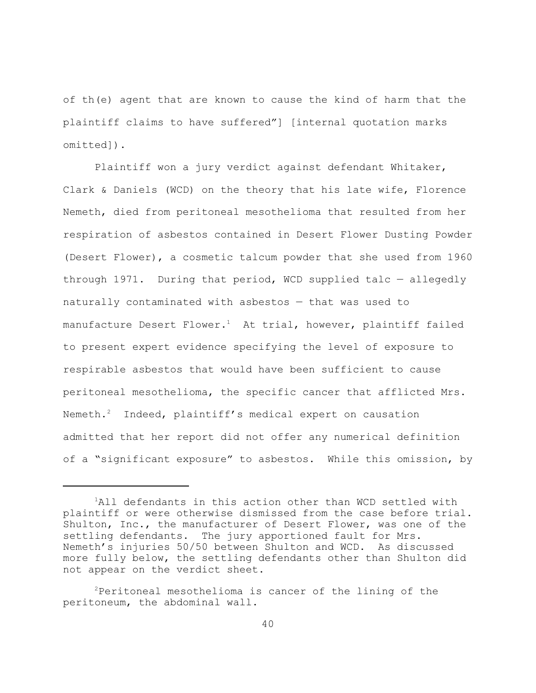of th(e) agent that are known to cause the kind of harm that the plaintiff claims to have suffered"] [internal quotation marks omitted]).

Plaintiff won a jury verdict against defendant Whitaker, Clark & Daniels (WCD) on the theory that his late wife, Florence Nemeth, died from peritoneal mesothelioma that resulted from her respiration of asbestos contained in Desert Flower Dusting Powder (Desert Flower), a cosmetic talcum powder that she used from 1960 through 1971. During that period, WCD supplied talc — allegedly naturally contaminated with asbestos — that was used to manufacture Desert Flower.<sup>1</sup> At trial, however, plaintiff failed to present expert evidence specifying the level of exposure to respirable asbestos that would have been sufficient to cause peritoneal mesothelioma, the specific cancer that afflicted Mrs. Nemeth.<sup>2</sup> Indeed, plaintiff's medical expert on causation admitted that her report did not offer any numerical definition of a "significant exposure" to asbestos. While this omission, by

<sup>1</sup>All defendants in this action other than WCD settled with plaintiff or were otherwise dismissed from the case before trial. Shulton, Inc., the manufacturer of Desert Flower, was one of the settling defendants. The jury apportioned fault for Mrs. Nemeth's injuries 50/50 between Shulton and WCD. As discussed more fully below, the settling defendants other than Shulton did not appear on the verdict sheet.

 $2$ Peritoneal mesothelioma is cancer of the lining of the peritoneum, the abdominal wall.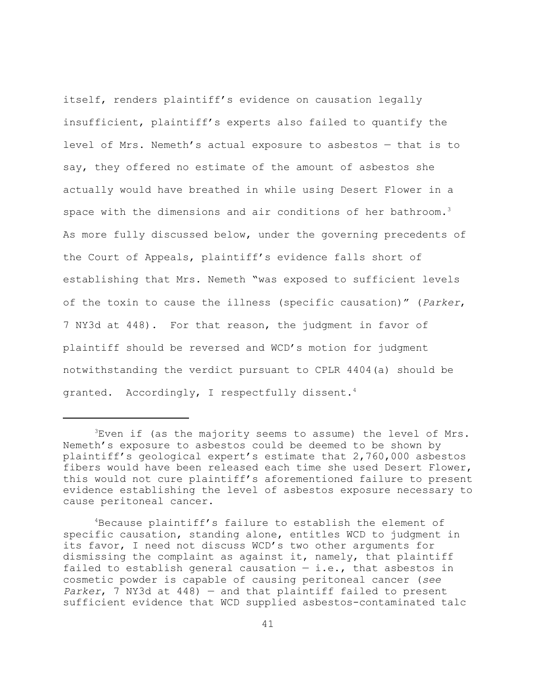itself, renders plaintiff's evidence on causation legally insufficient, plaintiff's experts also failed to quantify the level of Mrs. Nemeth's actual exposure to asbestos — that is to say, they offered no estimate of the amount of asbestos she actually would have breathed in while using Desert Flower in a space with the dimensions and air conditions of her bathroom.<sup>3</sup> As more fully discussed below, under the governing precedents of the Court of Appeals, plaintiff's evidence falls short of establishing that Mrs. Nemeth "was exposed to sufficient levels of the toxin to cause the illness (specific causation)" (*Parker*, 7 NY3d at 448). For that reason, the judgment in favor of plaintiff should be reversed and WCD's motion for judgment notwithstanding the verdict pursuant to CPLR 4404(a) should be granted. Accordingly, I respectfully dissent.<sup>4</sup>

 ${}^{3}$ Even if (as the majority seems to assume) the level of Mrs. Nemeth's exposure to asbestos could be deemed to be shown by plaintiff's geological expert's estimate that 2,760,000 asbestos fibers would have been released each time she used Desert Flower, this would not cure plaintiff's aforementioned failure to present evidence establishing the level of asbestos exposure necessary to cause peritoneal cancer.

<sup>4</sup>Because plaintiff's failure to establish the element of specific causation, standing alone, entitles WCD to judgment in its favor, I need not discuss WCD's two other arguments for dismissing the complaint as against it, namely, that plaintiff failed to establish general causation  $-$  i.e., that asbestos in cosmetic powder is capable of causing peritoneal cancer (*see Parker*, 7 NY3d at 448) — and that plaintiff failed to present sufficient evidence that WCD supplied asbestos-contaminated talc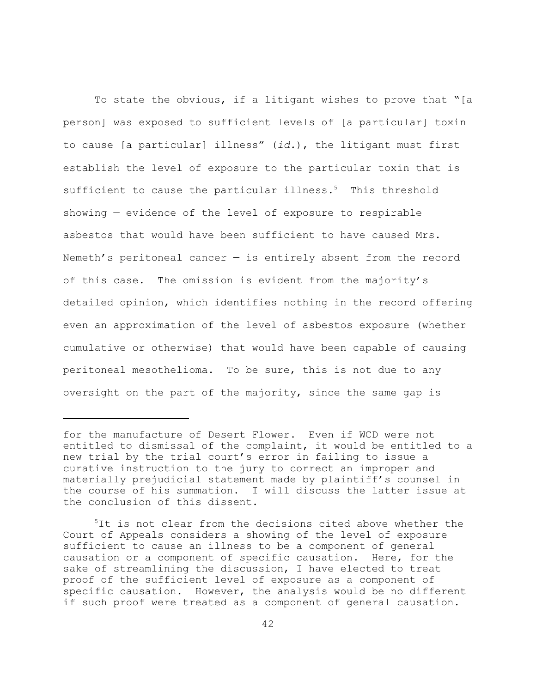To state the obvious, if a litigant wishes to prove that "[a person] was exposed to sufficient levels of [a particular] toxin to cause [a particular] illness" (*id.*), the litigant must first establish the level of exposure to the particular toxin that is sufficient to cause the particular illness.<sup>5</sup> This threshold showing — evidence of the level of exposure to respirable asbestos that would have been sufficient to have caused Mrs. Nemeth's peritoneal cancer  $-$  is entirely absent from the record of this case. The omission is evident from the majority's detailed opinion, which identifies nothing in the record offering even an approximation of the level of asbestos exposure (whether cumulative or otherwise) that would have been capable of causing peritoneal mesothelioma. To be sure, this is not due to any oversight on the part of the majority, since the same gap is

for the manufacture of Desert Flower. Even if WCD were not entitled to dismissal of the complaint, it would be entitled to a new trial by the trial court's error in failing to issue a curative instruction to the jury to correct an improper and materially prejudicial statement made by plaintiff's counsel in the course of his summation. I will discuss the latter issue at the conclusion of this dissent.

<sup>&</sup>lt;sup>5</sup>It is not clear from the decisions cited above whether the Court of Appeals considers a showing of the level of exposure sufficient to cause an illness to be a component of general causation or a component of specific causation. Here, for the sake of streamlining the discussion, I have elected to treat proof of the sufficient level of exposure as a component of specific causation. However, the analysis would be no different if such proof were treated as a component of general causation.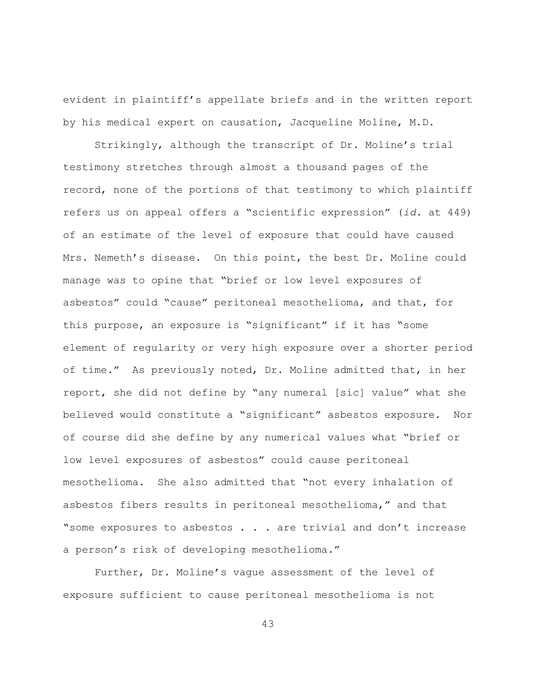evident in plaintiff's appellate briefs and in the written report by his medical expert on causation, Jacqueline Moline, M.D.

Strikingly, although the transcript of Dr. Moline's trial testimony stretches through almost a thousand pages of the record, none of the portions of that testimony to which plaintiff refers us on appeal offers a "scientific expression" (*id.* at 449) of an estimate of the level of exposure that could have caused Mrs. Nemeth's disease. On this point, the best Dr. Moline could manage was to opine that "brief or low level exposures of asbestos" could "cause" peritoneal mesothelioma, and that, for this purpose, an exposure is "significant" if it has "some element of regularity or very high exposure over a shorter period of time." As previously noted, Dr. Moline admitted that, in her report, she did not define by "any numeral [sic] value" what she believed would constitute a "significant" asbestos exposure. Nor of course did she define by any numerical values what "brief or low level exposures of asbestos" could cause peritoneal mesothelioma. She also admitted that "not every inhalation of asbestos fibers results in peritoneal mesothelioma," and that "some exposures to asbestos . . . are trivial and don't increase a person's risk of developing mesothelioma."

Further, Dr. Moline's vague assessment of the level of exposure sufficient to cause peritoneal mesothelioma is not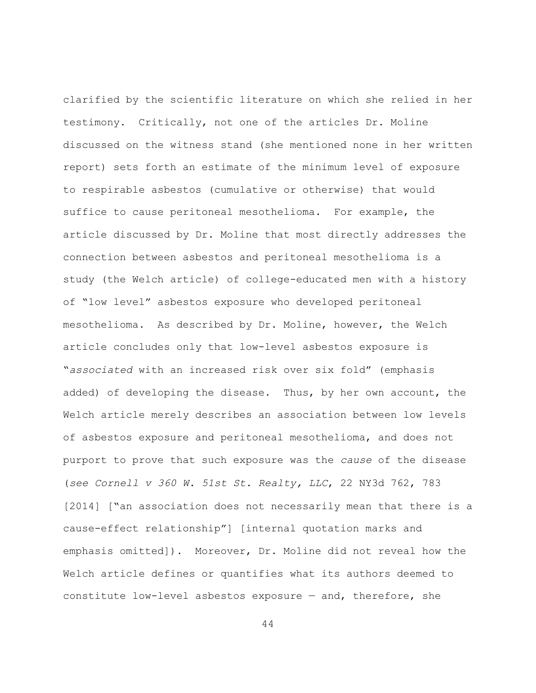clarified by the scientific literature on which she relied in her testimony. Critically, not one of the articles Dr. Moline discussed on the witness stand (she mentioned none in her written report) sets forth an estimate of the minimum level of exposure to respirable asbestos (cumulative or otherwise) that would suffice to cause peritoneal mesothelioma. For example, the article discussed by Dr. Moline that most directly addresses the connection between asbestos and peritoneal mesothelioma is a study (the Welch article) of college-educated men with a history of "low level" asbestos exposure who developed peritoneal mesothelioma. As described by Dr. Moline, however, the Welch article concludes only that low-level asbestos exposure is "*associated* with an increased risk over six fold" (emphasis added) of developing the disease. Thus, by her own account, the Welch article merely describes an association between low levels of asbestos exposure and peritoneal mesothelioma, and does not purport to prove that such exposure was the *cause* of the disease (*see Cornell v 360 W. 51st St. Realty, LLC*, 22 NY3d 762, 783 [2014] ["an association does not necessarily mean that there is a cause-effect relationship"] [internal quotation marks and emphasis omitted]). Moreover, Dr. Moline did not reveal how the Welch article defines or quantifies what its authors deemed to constitute low-level asbestos exposure — and, therefore, she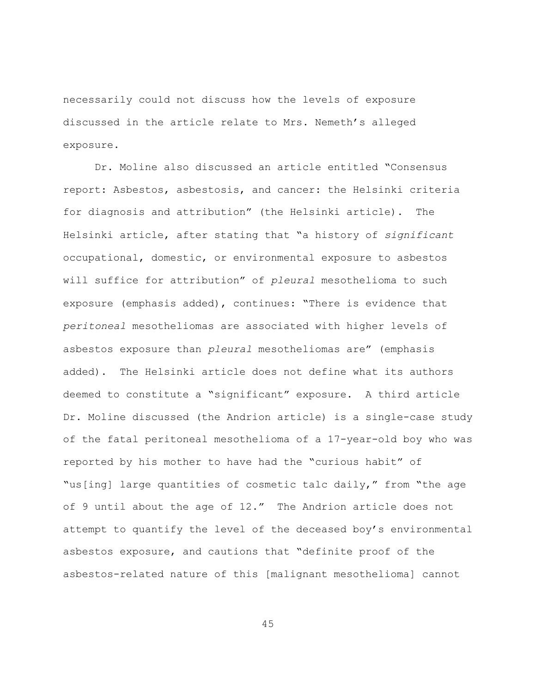necessarily could not discuss how the levels of exposure discussed in the article relate to Mrs. Nemeth's alleged exposure.

Dr. Moline also discussed an article entitled "Consensus report: Asbestos, asbestosis, and cancer: the Helsinki criteria for diagnosis and attribution" (the Helsinki article). The Helsinki article, after stating that "a history of *significant* occupational, domestic, or environmental exposure to asbestos will suffice for attribution" of *pleural* mesothelioma to such exposure (emphasis added), continues: "There is evidence that *peritoneal* mesotheliomas are associated with higher levels of asbestos exposure than *pleural* mesotheliomas are" (emphasis added). The Helsinki article does not define what its authors deemed to constitute a "significant" exposure. A third article Dr. Moline discussed (the Andrion article) is a single-case study of the fatal peritoneal mesothelioma of a 17-year-old boy who was reported by his mother to have had the "curious habit" of "us[ing] large quantities of cosmetic talc daily," from "the age of 9 until about the age of 12." The Andrion article does not attempt to quantify the level of the deceased boy's environmental asbestos exposure, and cautions that "definite proof of the asbestos-related nature of this [malignant mesothelioma] cannot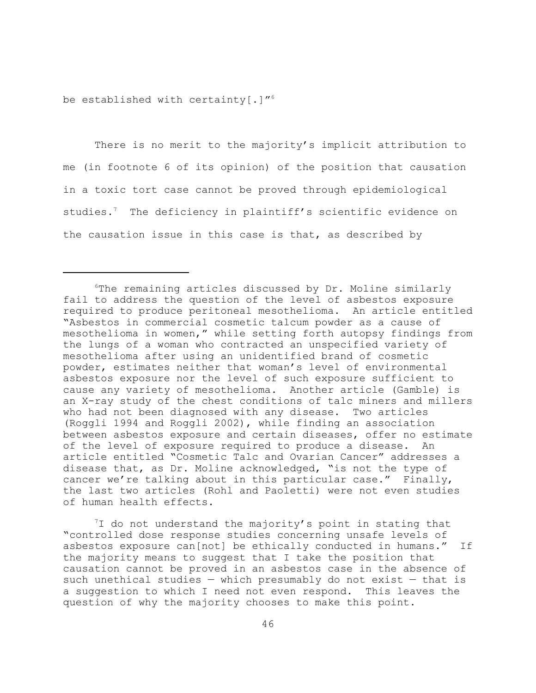be established with certainty[.]" $^6$ 

There is no merit to the majority's implicit attribution to me (in footnote 6 of its opinion) of the position that causation in a toxic tort case cannot be proved through epidemiological studies.<sup>7</sup> The deficiency in plaintiff's scientific evidence on the causation issue in this case is that, as described by

 $7$ I do not understand the majority's point in stating that "controlled dose response studies concerning unsafe levels of asbestos exposure can[not] be ethically conducted in humans." If the majority means to suggest that I take the position that causation cannot be proved in an asbestos case in the absence of such unethical studies  $-$  which presumably do not exist  $-$  that is a suggestion to which I need not even respond. This leaves the question of why the majority chooses to make this point.

<sup>6</sup>The remaining articles discussed by Dr. Moline similarly fail to address the question of the level of asbestos exposure required to produce peritoneal mesothelioma. An article entitled "Asbestos in commercial cosmetic talcum powder as a cause of mesothelioma in women," while setting forth autopsy findings from the lungs of a woman who contracted an unspecified variety of mesothelioma after using an unidentified brand of cosmetic powder, estimates neither that woman's level of environmental asbestos exposure nor the level of such exposure sufficient to cause any variety of mesothelioma. Another article (Gamble) is an X-ray study of the chest conditions of talc miners and millers who had not been diagnosed with any disease. Two articles (Roggli 1994 and Roggli 2002), while finding an association between asbestos exposure and certain diseases, offer no estimate of the level of exposure required to produce a disease. An article entitled "Cosmetic Talc and Ovarian Cancer" addresses a disease that, as Dr. Moline acknowledged, "is not the type of cancer we're talking about in this particular case." Finally, the last two articles (Rohl and Paoletti) were not even studies of human health effects.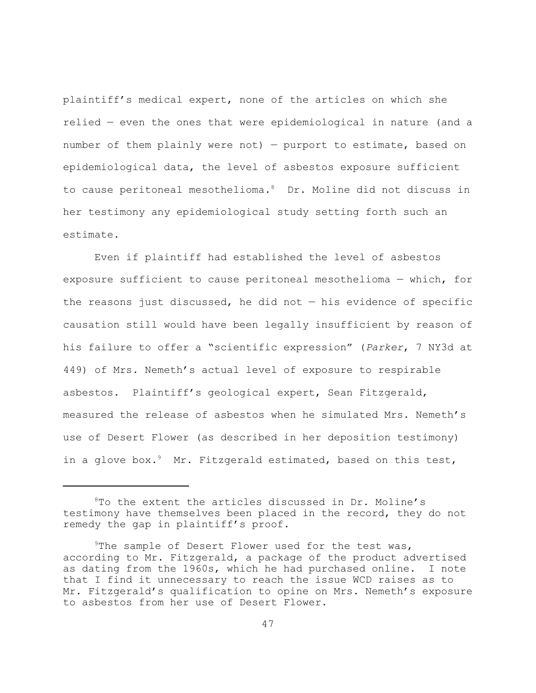plaintiff's medical expert, none of the articles on which she relied — even the ones that were epidemiological in nature (and a number of them plainly were not) — purport to estimate, based on epidemiological data, the level of asbestos exposure sufficient to cause peritoneal mesothelioma.<sup>8</sup> Dr. Moline did not discuss in her testimony any epidemiological study setting forth such an estimate.

Even if plaintiff had established the level of asbestos exposure sufficient to cause peritoneal mesothelioma — which, for the reasons just discussed, he did not  $-$  his evidence of specific causation still would have been legally insufficient by reason of his failure to offer a "scientific expression" (*Parker*, 7 NY3d at 449) of Mrs. Nemeth's actual level of exposure to respirable asbestos. Plaintiff's geological expert, Sean Fitzgerald, measured the release of asbestos when he simulated Mrs. Nemeth's use of Desert Flower (as described in her deposition testimony) in a glove box.<sup>9</sup> Mr. Fitzgerald estimated, based on this test,

<sup>8</sup>To the extent the articles discussed in Dr. Moline's testimony have themselves been placed in the record, they do not remedy the gap in plaintiff's proof.

<sup>&</sup>lt;sup>9</sup>The sample of Desert Flower used for the test was, according to Mr. Fitzgerald, a package of the product advertised as dating from the 1960s, which he had purchased online. I note that I find it unnecessary to reach the issue WCD raises as to Mr. Fitzgerald's qualification to opine on Mrs. Nemeth's exposure to asbestos from her use of Desert Flower.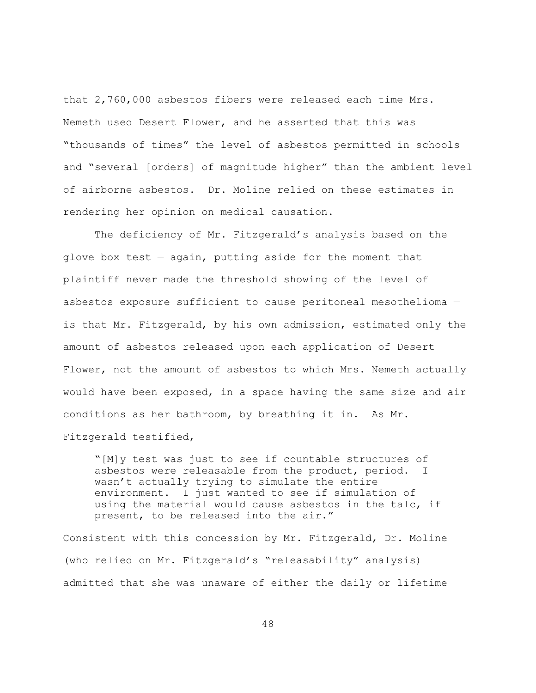that 2,760,000 asbestos fibers were released each time Mrs. Nemeth used Desert Flower, and he asserted that this was "thousands of times" the level of asbestos permitted in schools and "several [orders] of magnitude higher" than the ambient level of airborne asbestos. Dr. Moline relied on these estimates in rendering her opinion on medical causation.

The deficiency of Mr. Fitzgerald's analysis based on the glove box test — again, putting aside for the moment that plaintiff never made the threshold showing of the level of asbestos exposure sufficient to cause peritoneal mesothelioma is that Mr. Fitzgerald, by his own admission, estimated only the amount of asbestos released upon each application of Desert Flower, not the amount of asbestos to which Mrs. Nemeth actually would have been exposed, in a space having the same size and air conditions as her bathroom, by breathing it in. As Mr. Fitzgerald testified,

"[M]y test was just to see if countable structures of asbestos were releasable from the product, period. I wasn't actually trying to simulate the entire environment. I just wanted to see if simulation of using the material would cause asbestos in the talc, if present, to be released into the air."

Consistent with this concession by Mr. Fitzgerald, Dr. Moline (who relied on Mr. Fitzgerald's "releasability" analysis) admitted that she was unaware of either the daily or lifetime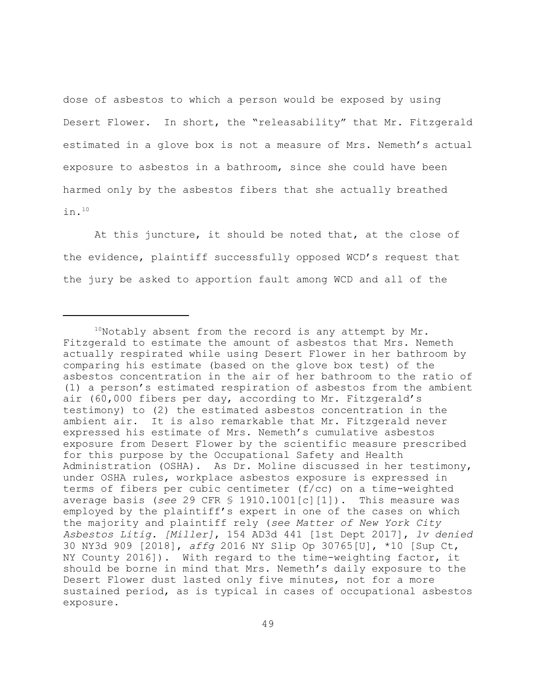dose of asbestos to which a person would be exposed by using Desert Flower. In short, the "releasability" that Mr. Fitzgerald estimated in a glove box is not a measure of Mrs. Nemeth's actual exposure to asbestos in a bathroom, since she could have been harmed only by the asbestos fibers that she actually breathed in.<sup>10</sup>

At this juncture, it should be noted that, at the close of the evidence, plaintiff successfully opposed WCD's request that the jury be asked to apportion fault among WCD and all of the

 $10$ Notably absent from the record is any attempt by Mr. Fitzgerald to estimate the amount of asbestos that Mrs. Nemeth actually respirated while using Desert Flower in her bathroom by comparing his estimate (based on the glove box test) of the asbestos concentration in the air of her bathroom to the ratio of (1) a person's estimated respiration of asbestos from the ambient air (60,000 fibers per day, according to Mr. Fitzgerald's testimony) to (2) the estimated asbestos concentration in the ambient air. It is also remarkable that Mr. Fitzgerald never expressed his estimate of Mrs. Nemeth's cumulative asbestos exposure from Desert Flower by the scientific measure prescribed for this purpose by the Occupational Safety and Health Administration (OSHA). As Dr. Moline discussed in her testimony, under OSHA rules, workplace asbestos exposure is expressed in terms of fibers per cubic centimeter (f/cc) on a time-weighted average basis (*see* 29 CFR § 1910.1001[c][1]). This measure was employed by the plaintiff's expert in one of the cases on which the majority and plaintiff rely (*see Matter of New York City Asbestos Litig. [Miller]*, 154 AD3d 441 [1st Dept 2017], *lv denied* 30 NY3d 909 [2018], *affg* 2016 NY Slip Op 30765[U], \*10 [Sup Ct, NY County 2016]). With regard to the time-weighting factor, it should be borne in mind that Mrs. Nemeth's daily exposure to the Desert Flower dust lasted only five minutes, not for a more sustained period, as is typical in cases of occupational asbestos exposure.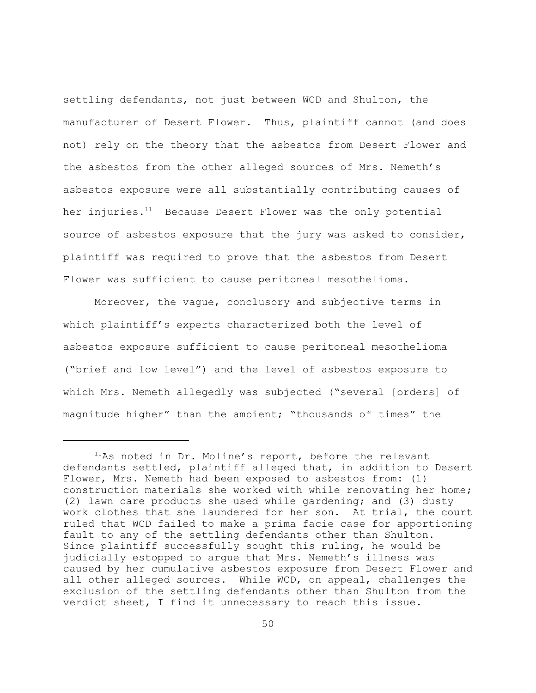settling defendants, not just between WCD and Shulton, the manufacturer of Desert Flower. Thus, plaintiff cannot (and does not) rely on the theory that the asbestos from Desert Flower and the asbestos from the other alleged sources of Mrs. Nemeth's asbestos exposure were all substantially contributing causes of her injuries.<sup>11</sup> Because Desert Flower was the only potential source of asbestos exposure that the jury was asked to consider, plaintiff was required to prove that the asbestos from Desert Flower was sufficient to cause peritoneal mesothelioma.

Moreover, the vague, conclusory and subjective terms in which plaintiff's experts characterized both the level of asbestos exposure sufficient to cause peritoneal mesothelioma ("brief and low level") and the level of asbestos exposure to which Mrs. Nemeth allegedly was subjected ("several [orders] of magnitude higher" than the ambient; "thousands of times" the

<sup>&</sup>lt;sup>11</sup>As noted in Dr. Moline's report, before the relevant defendants settled, plaintiff alleged that, in addition to Desert Flower, Mrs. Nemeth had been exposed to asbestos from: (1) construction materials she worked with while renovating her home; (2) lawn care products she used while gardening; and (3) dusty work clothes that she laundered for her son. At trial, the court ruled that WCD failed to make a prima facie case for apportioning fault to any of the settling defendants other than Shulton. Since plaintiff successfully sought this ruling, he would be judicially estopped to argue that Mrs. Nemeth's illness was caused by her cumulative asbestos exposure from Desert Flower and all other alleged sources. While WCD, on appeal, challenges the exclusion of the settling defendants other than Shulton from the verdict sheet, I find it unnecessary to reach this issue.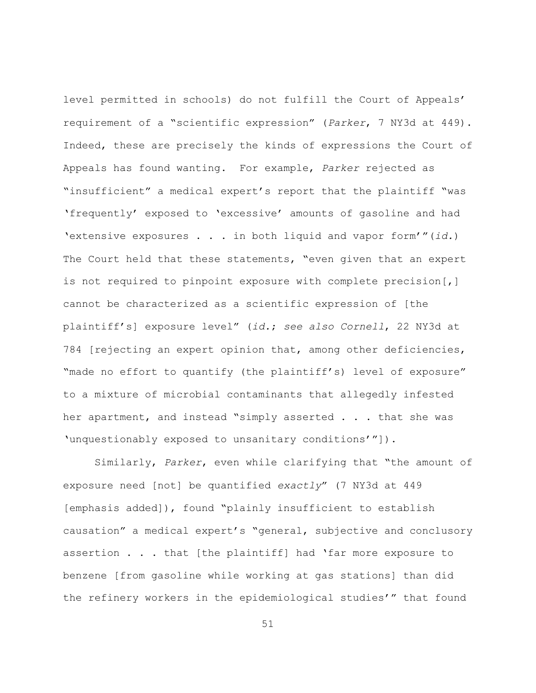level permitted in schools) do not fulfill the Court of Appeals' requirement of a "scientific expression" (*Parker*, 7 NY3d at 449). Indeed, these are precisely the kinds of expressions the Court of Appeals has found wanting. For example, *Parker* rejected as "insufficient" a medical expert's report that the plaintiff "was 'frequently' exposed to 'excessive' amounts of gasoline and had 'extensive exposures . . . in both liquid and vapor form'"(*id.*) The Court held that these statements, "even given that an expert is not required to pinpoint exposure with complete precision[,] cannot be characterized as a scientific expression of [the plaintiff's] exposure level" (*id.*; *see also Cornell*, 22 NY3d at 784 [rejecting an expert opinion that, among other deficiencies, "made no effort to quantify (the plaintiff's) level of exposure" to a mixture of microbial contaminants that allegedly infested her apartment, and instead "simply asserted . . . that she was 'unquestionably exposed to unsanitary conditions'"]).

Similarly, *Parker*, even while clarifying that "the amount of exposure need [not] be quantified *exactly*" (7 NY3d at 449 [emphasis added]), found "plainly insufficient to establish causation" a medical expert's "general, subjective and conclusory assertion . . . that [the plaintiff] had 'far more exposure to benzene [from gasoline while working at gas stations] than did the refinery workers in the epidemiological studies'" that found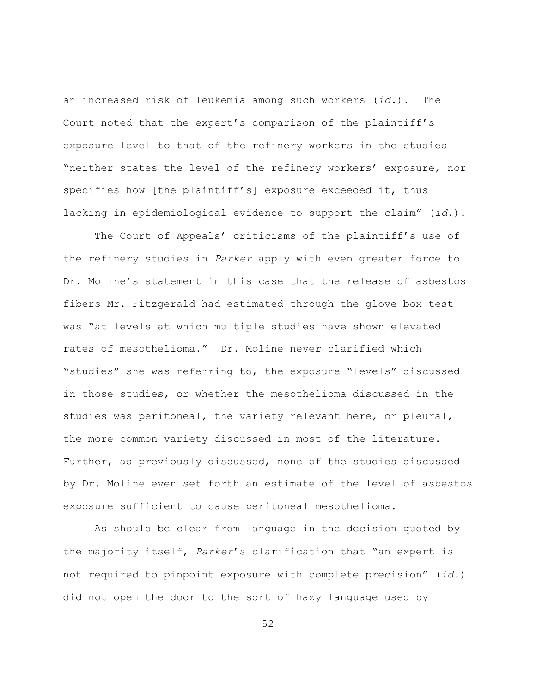an increased risk of leukemia among such workers (*id.*). The Court noted that the expert's comparison of the plaintiff's exposure level to that of the refinery workers in the studies "neither states the level of the refinery workers' exposure, nor specifies how [the plaintiff's] exposure exceeded it, thus lacking in epidemiological evidence to support the claim" (*id.*).

The Court of Appeals' criticisms of the plaintiff's use of the refinery studies in *Parker* apply with even greater force to Dr. Moline's statement in this case that the release of asbestos fibers Mr. Fitzgerald had estimated through the glove box test was "at levels at which multiple studies have shown elevated rates of mesothelioma." Dr. Moline never clarified which "studies" she was referring to, the exposure "levels" discussed in those studies, or whether the mesothelioma discussed in the studies was peritoneal, the variety relevant here, or pleural, the more common variety discussed in most of the literature. Further, as previously discussed, none of the studies discussed by Dr. Moline even set forth an estimate of the level of asbestos exposure sufficient to cause peritoneal mesothelioma.

As should be clear from language in the decision quoted by the majority itself, *Parker*'s clarification that "an expert is not required to pinpoint exposure with complete precision" (*id.*) did not open the door to the sort of hazy language used by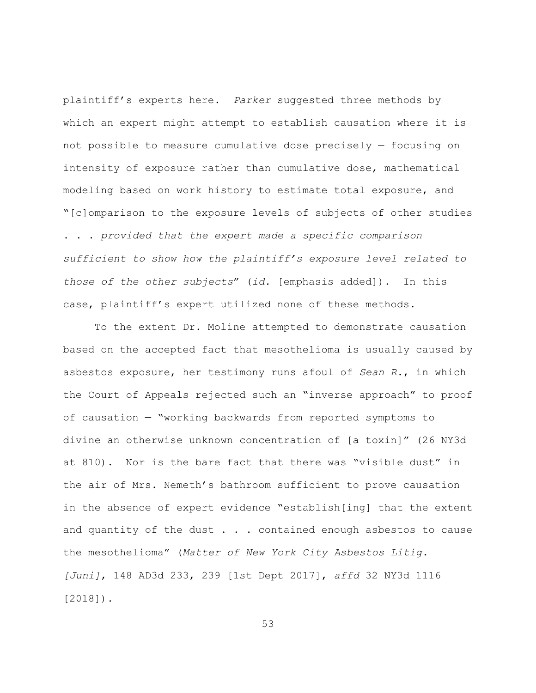plaintiff's experts here. *Parker* suggested three methods by which an expert might attempt to establish causation where it is not possible to measure cumulative dose precisely — focusing on intensity of exposure rather than cumulative dose, mathematical modeling based on work history to estimate total exposure, and "[c]omparison to the exposure levels of subjects of other studies . . . *provided that the expert made a specific comparison sufficient to show how the plaintiff's exposure level related to those of the other subjects*" (*id.* [emphasis added]). In this case, plaintiff's expert utilized none of these methods.

To the extent Dr. Moline attempted to demonstrate causation based on the accepted fact that mesothelioma is usually caused by asbestos exposure, her testimony runs afoul of *Sean R.*, in which the Court of Appeals rejected such an "inverse approach" to proof of causation — "working backwards from reported symptoms to divine an otherwise unknown concentration of [a toxin]" (26 NY3d at 810). Nor is the bare fact that there was "visible dust" in the air of Mrs. Nemeth's bathroom sufficient to prove causation in the absence of expert evidence "establish[ing] that the extent and quantity of the dust  $\ldots$  . contained enough asbestos to cause the mesothelioma" (*Matter of New York City Asbestos Litig. [Juni]*, 148 AD3d 233, 239 [1st Dept 2017], *affd* 32 NY3d 1116 [2018]).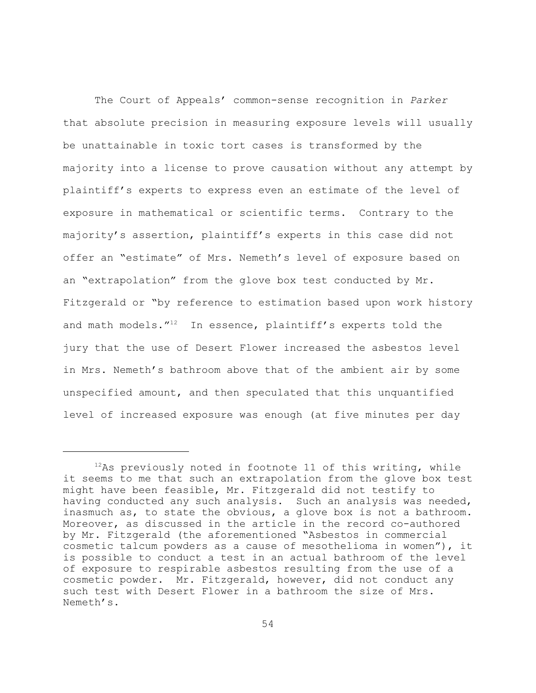The Court of Appeals' common-sense recognition in *Parker* that absolute precision in measuring exposure levels will usually be unattainable in toxic tort cases is transformed by the majority into a license to prove causation without any attempt by plaintiff's experts to express even an estimate of the level of exposure in mathematical or scientific terms. Contrary to the majority's assertion, plaintiff's experts in this case did not offer an "estimate" of Mrs. Nemeth's level of exposure based on an "extrapolation" from the glove box test conducted by Mr. Fitzgerald or "by reference to estimation based upon work history and math models."<sup>12</sup> In essence, plaintiff's experts told the jury that the use of Desert Flower increased the asbestos level in Mrs. Nemeth's bathroom above that of the ambient air by some unspecified amount, and then speculated that this unquantified level of increased exposure was enough (at five minutes per day

 $12$ As previously noted in footnote 11 of this writing, while it seems to me that such an extrapolation from the glove box test might have been feasible, Mr. Fitzgerald did not testify to having conducted any such analysis. Such an analysis was needed, inasmuch as, to state the obvious, a glove box is not a bathroom. Moreover, as discussed in the article in the record co-authored by Mr. Fitzgerald (the aforementioned "Asbestos in commercial cosmetic talcum powders as a cause of mesothelioma in women"), it is possible to conduct a test in an actual bathroom of the level of exposure to respirable asbestos resulting from the use of a cosmetic powder. Mr. Fitzgerald, however, did not conduct any such test with Desert Flower in a bathroom the size of Mrs. Nemeth's.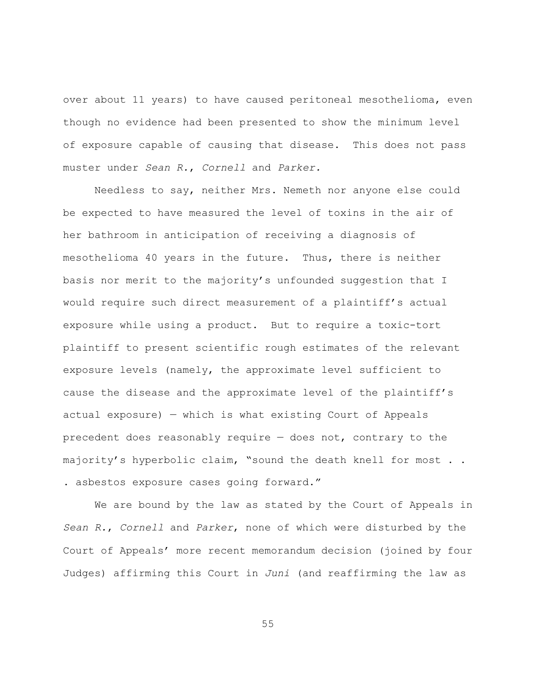over about 11 years) to have caused peritoneal mesothelioma, even though no evidence had been presented to show the minimum level of exposure capable of causing that disease. This does not pass muster under *Sean R.*, *Cornell* and *Parker.*

Needless to say, neither Mrs. Nemeth nor anyone else could be expected to have measured the level of toxins in the air of her bathroom in anticipation of receiving a diagnosis of mesothelioma 40 years in the future. Thus, there is neither basis nor merit to the majority's unfounded suggestion that I would require such direct measurement of a plaintiff's actual exposure while using a product. But to require a toxic-tort plaintiff to present scientific rough estimates of the relevant exposure levels (namely, the approximate level sufficient to cause the disease and the approximate level of the plaintiff's actual exposure) — which is what existing Court of Appeals precedent does reasonably require — does not, contrary to the majority's hyperbolic claim, "sound the death knell for most . . . asbestos exposure cases going forward."

We are bound by the law as stated by the Court of Appeals in *Sean R.*, *Cornell* and *Parker*, none of which were disturbed by the Court of Appeals' more recent memorandum decision (joined by four Judges) affirming this Court in *Juni* (and reaffirming the law as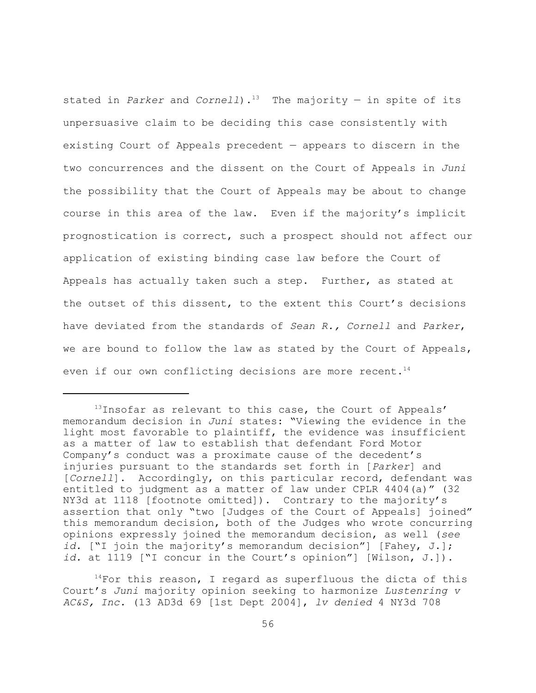stated in *Parker* and *Cornell*).<sup>13</sup> The majority — in spite of its unpersuasive claim to be deciding this case consistently with existing Court of Appeals precedent — appears to discern in the two concurrences and the dissent on the Court of Appeals in *Juni* the possibility that the Court of Appeals may be about to change course in this area of the law. Even if the majority's implicit prognostication is correct, such a prospect should not affect our application of existing binding case law before the Court of Appeals has actually taken such a step. Further, as stated at the outset of this dissent, to the extent this Court's decisions have deviated from the standards of *Sean R., Cornell* and *Parker*, we are bound to follow the law as stated by the Court of Appeals, even if our own conflicting decisions are more recent.<sup>14</sup>

 $14$ For this reason, I regard as superfluous the dicta of this Court's *Juni* majority opinion seeking to harmonize *Lustenring v AC&S, Inc.* (13 AD3d 69 [1st Dept 2004], *lv denied* 4 NY3d 708

<sup>&</sup>lt;sup>13</sup>Insofar as relevant to this case, the Court of Appeals' memorandum decision in *Juni* states: "Viewing the evidence in the light most favorable to plaintiff, the evidence was insufficient as a matter of law to establish that defendant Ford Motor Company's conduct was a proximate cause of the decedent's injuries pursuant to the standards set forth in [*Parker*] and [*Cornell*]. Accordingly, on this particular record, defendant was entitled to judgment as a matter of law under CPLR 4404(a)" (32 NY3d at 1118 [footnote omitted]). Contrary to the majority's assertion that only "two [Judges of the Court of Appeals] joined" this memorandum decision, both of the Judges who wrote concurring opinions expressly joined the memorandum decision, as well (*see id.* ["I join the majority's memorandum decision"] [Fahey, J.]; *id.* at 1119 ["I concur in the Court's opinion"] [Wilson, J.]).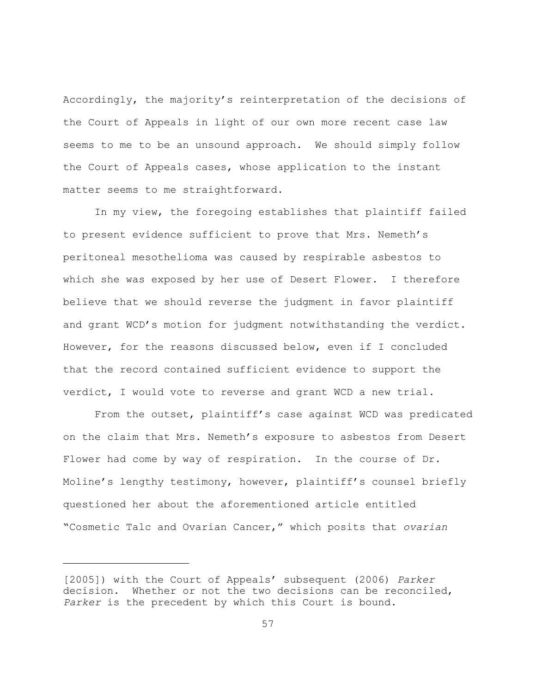Accordingly, the majority's reinterpretation of the decisions of the Court of Appeals in light of our own more recent case law seems to me to be an unsound approach. We should simply follow the Court of Appeals cases, whose application to the instant matter seems to me straightforward.

In my view, the foregoing establishes that plaintiff failed to present evidence sufficient to prove that Mrs. Nemeth's peritoneal mesothelioma was caused by respirable asbestos to which she was exposed by her use of Desert Flower. I therefore believe that we should reverse the judgment in favor plaintiff and grant WCD's motion for judgment notwithstanding the verdict. However, for the reasons discussed below, even if I concluded that the record contained sufficient evidence to support the verdict, I would vote to reverse and grant WCD a new trial.

From the outset, plaintiff's case against WCD was predicated on the claim that Mrs. Nemeth's exposure to asbestos from Desert Flower had come by way of respiration. In the course of Dr. Moline's lengthy testimony, however, plaintiff's counsel briefly questioned her about the aforementioned article entitled "Cosmetic Talc and Ovarian Cancer," which posits that *ovarian*

<sup>[2005])</sup> with the Court of Appeals' subsequent (2006) *Parker* decision. Whether or not the two decisions can be reconciled, *Parker* is the precedent by which this Court is bound.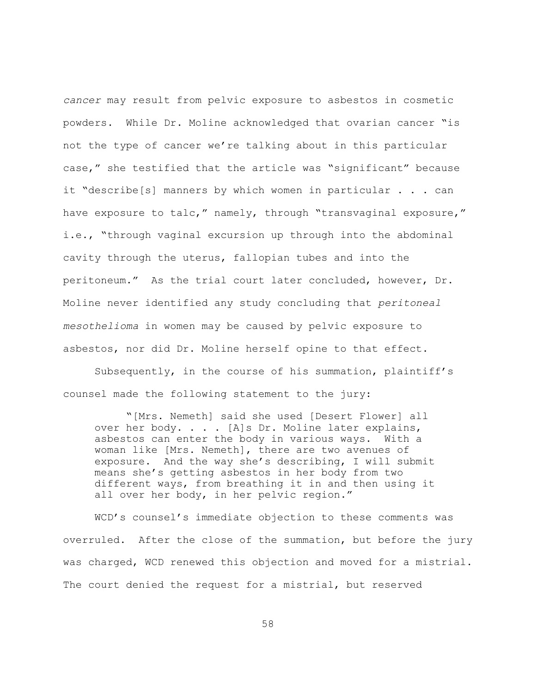*cancer* may result from pelvic exposure to asbestos in cosmetic powders. While Dr. Moline acknowledged that ovarian cancer "is not the type of cancer we're talking about in this particular case," she testified that the article was "significant" because it "describe[s] manners by which women in particular . . . can have exposure to talc," namely, through "transvaginal exposure," i.e., "through vaginal excursion up through into the abdominal cavity through the uterus, fallopian tubes and into the peritoneum." As the trial court later concluded, however, Dr. Moline never identified any study concluding that *peritoneal mesothelioma* in women may be caused by pelvic exposure to asbestos, nor did Dr. Moline herself opine to that effect.

Subsequently, in the course of his summation, plaintiff's counsel made the following statement to the jury:

"[Mrs. Nemeth] said she used [Desert Flower] all over her body. . . . [A]s Dr. Moline later explains, asbestos can enter the body in various ways. With a woman like [Mrs. Nemeth], there are two avenues of exposure. And the way she's describing, I will submit means she's getting asbestos in her body from two different ways, from breathing it in and then using it all over her body, in her pelvic region."

WCD's counsel's immediate objection to these comments was overruled. After the close of the summation, but before the jury was charged, WCD renewed this objection and moved for a mistrial. The court denied the request for a mistrial, but reserved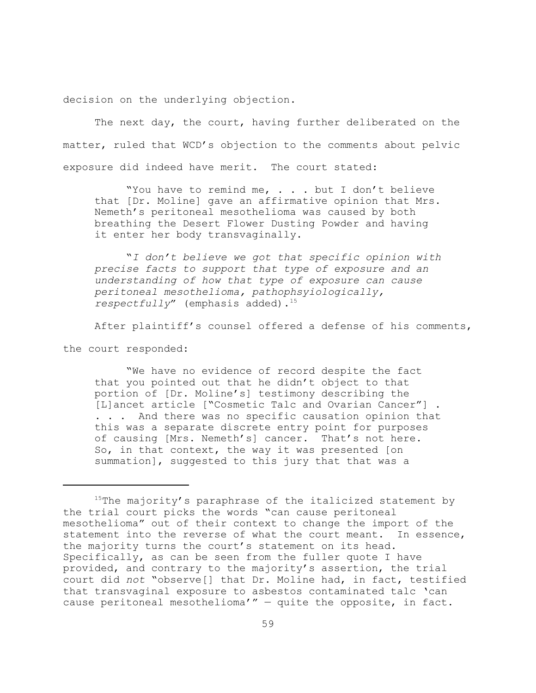decision on the underlying objection.

The next day, the court, having further deliberated on the matter, ruled that WCD's objection to the comments about pelvic exposure did indeed have merit. The court stated:

"You have to remind me, . . . but I don't believe that [Dr. Moline] gave an affirmative opinion that Mrs. Nemeth's peritoneal mesothelioma was caused by both breathing the Desert Flower Dusting Powder and having it enter her body transvaginally.

"*I don't believe we got that specific opinion with precise facts to support that type of exposure and an understanding of how that type of exposure can cause peritoneal mesothelioma, pathophsyiologically, respectfully*" (emphasis added).<sup>15</sup>

After plaintiff's counsel offered a defense of his comments,

the court responded:

"We have no evidence of record despite the fact that you pointed out that he didn't object to that portion of [Dr. Moline's] testimony describing the [L]ancet article ["Cosmetic Talc and Ovarian Cancer"] . . . . And there was no specific causation opinion that this was a separate discrete entry point for purposes of causing [Mrs. Nemeth's] cancer. That's not here. So, in that context, the way it was presented [on summation], suggested to this jury that that was a

 $15$ The majority's paraphrase of the italicized statement by the trial court picks the words "can cause peritoneal mesothelioma" out of their context to change the import of the statement into the reverse of what the court meant. In essence, the majority turns the court's statement on its head. Specifically, as can be seen from the fuller quote I have provided, and contrary to the majority's assertion, the trial court did *not* "observe[] that Dr. Moline had, in fact, testified that transvaginal exposure to asbestos contaminated talc 'can cause peritoneal mesothelioma'" — quite the opposite, in fact.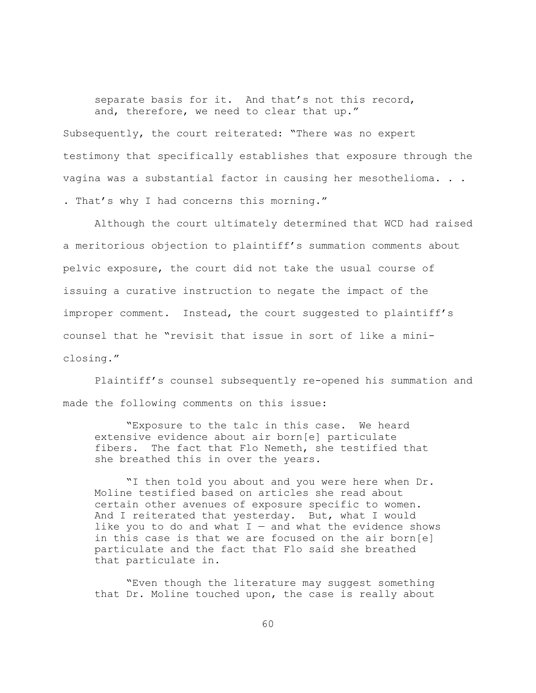separate basis for it. And that's not this record, and, therefore, we need to clear that up."

Subsequently, the court reiterated: "There was no expert testimony that specifically establishes that exposure through the vagina was a substantial factor in causing her mesothelioma. . . . That's why I had concerns this morning."

Although the court ultimately determined that WCD had raised a meritorious objection to plaintiff's summation comments about pelvic exposure, the court did not take the usual course of issuing a curative instruction to negate the impact of the improper comment. Instead, the court suggested to plaintiff's counsel that he "revisit that issue in sort of like a miniclosing."

Plaintiff's counsel subsequently re-opened his summation and made the following comments on this issue:

"Exposure to the talc in this case. We heard extensive evidence about air born[e] particulate fibers. The fact that Flo Nemeth, she testified that she breathed this in over the years.

"I then told you about and you were here when Dr. Moline testified based on articles she read about certain other avenues of exposure specific to women. And I reiterated that yesterday. But, what I would like you to do and what  $I -$  and what the evidence shows in this case is that we are focused on the air born[e] particulate and the fact that Flo said she breathed that particulate in.

"Even though the literature may suggest something that Dr. Moline touched upon, the case is really about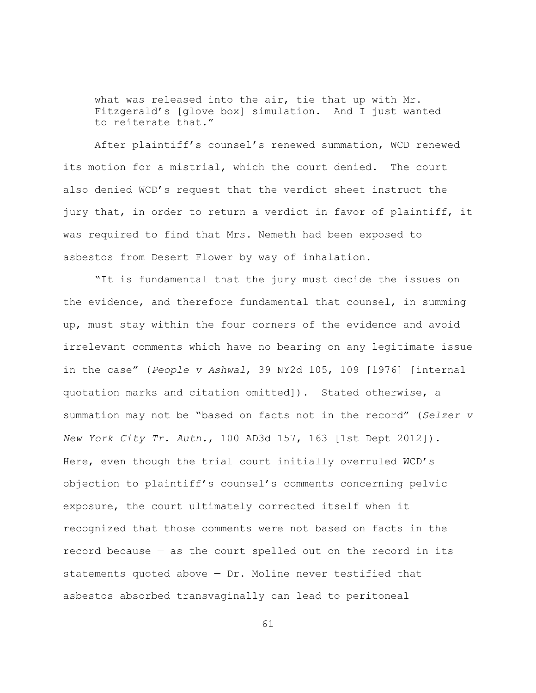what was released into the air, tie that up with Mr. Fitzgerald's [glove box] simulation. And I just wanted to reiterate that."

After plaintiff's counsel's renewed summation, WCD renewed its motion for a mistrial, which the court denied. The court also denied WCD's request that the verdict sheet instruct the jury that, in order to return a verdict in favor of plaintiff, it was required to find that Mrs. Nemeth had been exposed to asbestos from Desert Flower by way of inhalation.

"It is fundamental that the jury must decide the issues on the evidence, and therefore fundamental that counsel, in summing up, must stay within the four corners of the evidence and avoid irrelevant comments which have no bearing on any legitimate issue in the case" (*People v Ashwal*, 39 NY2d 105, 109 [1976] [internal quotation marks and citation omitted]). Stated otherwise, a summation may not be "based on facts not in the record" (*Selzer v New York City Tr. Auth.*, 100 AD3d 157, 163 [1st Dept 2012]). Here, even though the trial court initially overruled WCD's objection to plaintiff's counsel's comments concerning pelvic exposure, the court ultimately corrected itself when it recognized that those comments were not based on facts in the record because — as the court spelled out on the record in its statements quoted above  $-$  Dr. Moline never testified that asbestos absorbed transvaginally can lead to peritoneal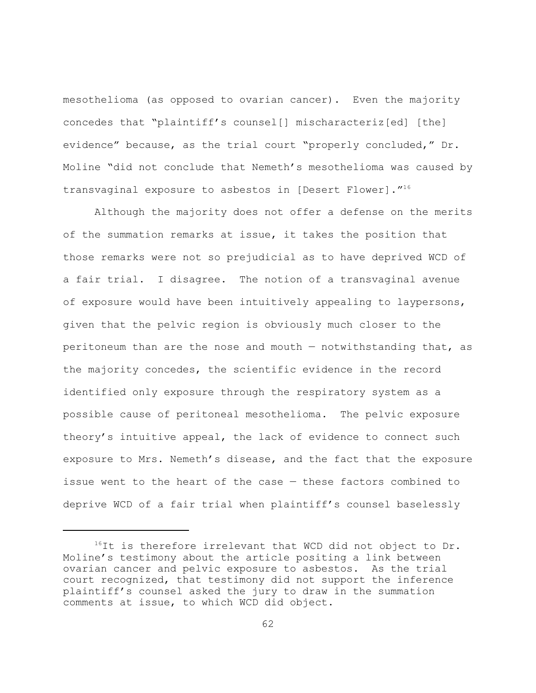mesothelioma (as opposed to ovarian cancer). Even the majority concedes that "plaintiff's counsel[] mischaracteriz[ed] [the] evidence" because, as the trial court "properly concluded," Dr. Moline "did not conclude that Nemeth's mesothelioma was caused by transvaginal exposure to asbestos in [Desert Flower]."<sup>16</sup>

Although the majority does not offer a defense on the merits of the summation remarks at issue, it takes the position that those remarks were not so prejudicial as to have deprived WCD of a fair trial. I disagree. The notion of a transvaginal avenue of exposure would have been intuitively appealing to laypersons, given that the pelvic region is obviously much closer to the peritoneum than are the nose and mouth — notwithstanding that, as the majority concedes, the scientific evidence in the record identified only exposure through the respiratory system as a possible cause of peritoneal mesothelioma. The pelvic exposure theory's intuitive appeal, the lack of evidence to connect such exposure to Mrs. Nemeth's disease, and the fact that the exposure issue went to the heart of the case — these factors combined to deprive WCD of a fair trial when plaintiff's counsel baselessly

<sup>&</sup>lt;sup>16</sup>It is therefore irrelevant that WCD did not object to Dr. Moline's testimony about the article positing a link between ovarian cancer and pelvic exposure to asbestos. As the trial court recognized, that testimony did not support the inference plaintiff's counsel asked the jury to draw in the summation comments at issue, to which WCD did object.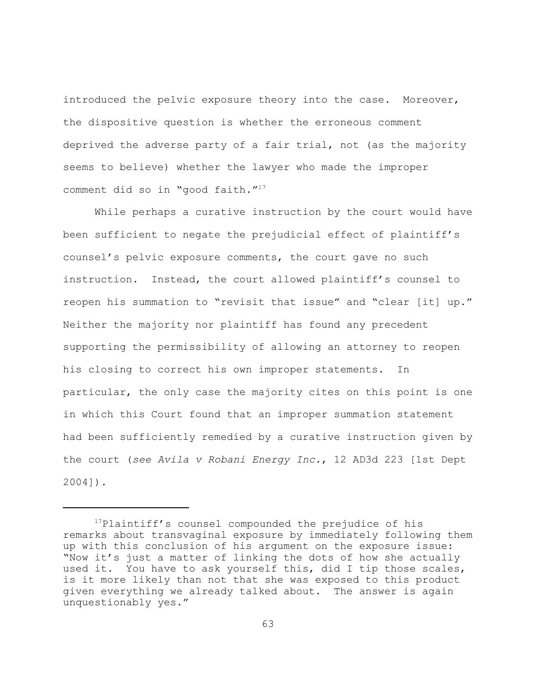introduced the pelvic exposure theory into the case. Moreover, the dispositive question is whether the erroneous comment deprived the adverse party of a fair trial, not (as the majority seems to believe) whether the lawyer who made the improper comment did so in "good faith."<sup>17</sup>

While perhaps a curative instruction by the court would have been sufficient to negate the prejudicial effect of plaintiff's counsel's pelvic exposure comments, the court gave no such instruction. Instead, the court allowed plaintiff's counsel to reopen his summation to "revisit that issue" and "clear [it] up." Neither the majority nor plaintiff has found any precedent supporting the permissibility of allowing an attorney to reopen his closing to correct his own improper statements. In particular, the only case the majority cites on this point is one in which this Court found that an improper summation statement had been sufficiently remedied by a curative instruction given by the court (*see Avila v Robani Energy Inc.*, 12 AD3d 223 [1st Dept 2004]).

<sup>&</sup>lt;sup>17</sup>Plaintiff's counsel compounded the prejudice of his remarks about transvaginal exposure by immediately following them up with this conclusion of his argument on the exposure issue: "Now it's just a matter of linking the dots of how she actually used it. You have to ask yourself this, did I tip those scales, is it more likely than not that she was exposed to this product given everything we already talked about. The answer is again unquestionably yes."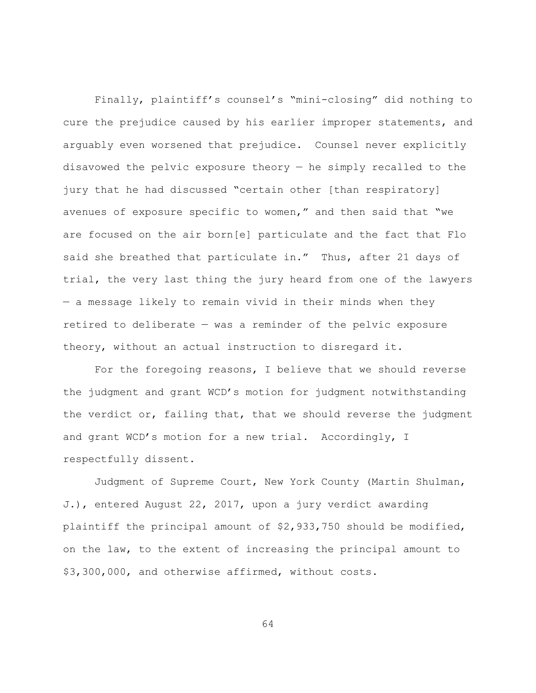Finally, plaintiff's counsel's "mini-closing" did nothing to cure the prejudice caused by his earlier improper statements, and arguably even worsened that prejudice. Counsel never explicitly disavowed the pelvic exposure theory — he simply recalled to the jury that he had discussed "certain other [than respiratory] avenues of exposure specific to women," and then said that "we are focused on the air born[e] particulate and the fact that Flo said she breathed that particulate in." Thus, after 21 days of trial, the very last thing the jury heard from one of the lawyers — a message likely to remain vivid in their minds when they retired to deliberate — was a reminder of the pelvic exposure theory, without an actual instruction to disregard it.

For the foregoing reasons, I believe that we should reverse the judgment and grant WCD's motion for judgment notwithstanding the verdict or, failing that, that we should reverse the judgment and grant WCD's motion for a new trial. Accordingly, I respectfully dissent.

Judgment of Supreme Court, New York County (Martin Shulman, J.), entered August 22, 2017, upon a jury verdict awarding plaintiff the principal amount of \$2,933,750 should be modified, on the law, to the extent of increasing the principal amount to \$3,300,000, and otherwise affirmed, without costs.